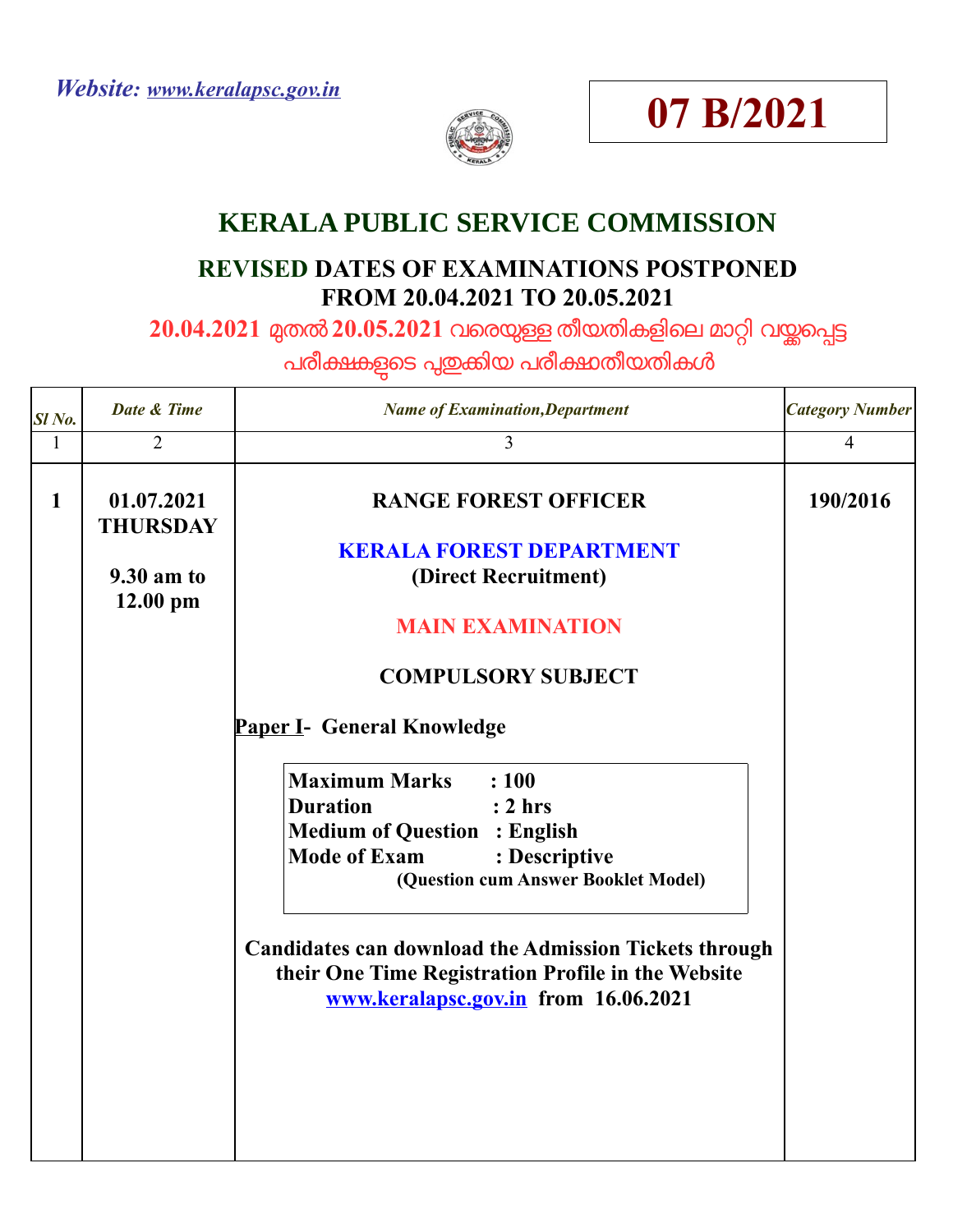*Website: www.keralapsc.gov.in*





## **KERALA PUBLIC SERVICE COMMISSION**

## **REVISED DATES OF EXAMINATIONS POSTPONED FROM 20.04.2021 TO 20.05.2021**

20.04.2021 മുതൽ 20.05.2021 വരെയുള്ള തീയതികളിലെ മാറ്റി വയ്ക്കപ്പെട്ട

പരീകകളെട പതകിയ പരീകാതീയതികൾ

| Sl <sub>No.</sub> | Date & Time                   | <b>Name of Examination, Department</b>                                                                                                                                            | <b>Category Number</b> |
|-------------------|-------------------------------|-----------------------------------------------------------------------------------------------------------------------------------------------------------------------------------|------------------------|
| $\mathbf{1}$      | $\overline{2}$                | 3                                                                                                                                                                                 | 4                      |
| $\mathbf{1}$      | 01.07.2021<br><b>THURSDAY</b> | <b>RANGE FOREST OFFICER</b>                                                                                                                                                       | 190/2016               |
|                   | 9.30 am to                    | <b>KERALA FOREST DEPARTMENT</b><br>(Direct Recruitment)                                                                                                                           |                        |
|                   | $12.00$ pm                    | <b>MAIN EXAMINATION</b>                                                                                                                                                           |                        |
|                   |                               | <b>COMPULSORY SUBJECT</b>                                                                                                                                                         |                        |
|                   |                               | <b>Paper I- General Knowledge</b>                                                                                                                                                 |                        |
|                   |                               | <b>Maximum Marks</b><br>: 100<br><b>Duration</b><br>: 2 hrs<br><b>Medium of Question : English</b><br><b>Mode of Exam</b><br>: Descriptive<br>(Question cum Answer Booklet Model) |                        |
|                   |                               | <b>Candidates can download the Admission Tickets through</b><br>their One Time Registration Profile in the Website<br>www.keralapsc.gov.in from 16.06.2021                        |                        |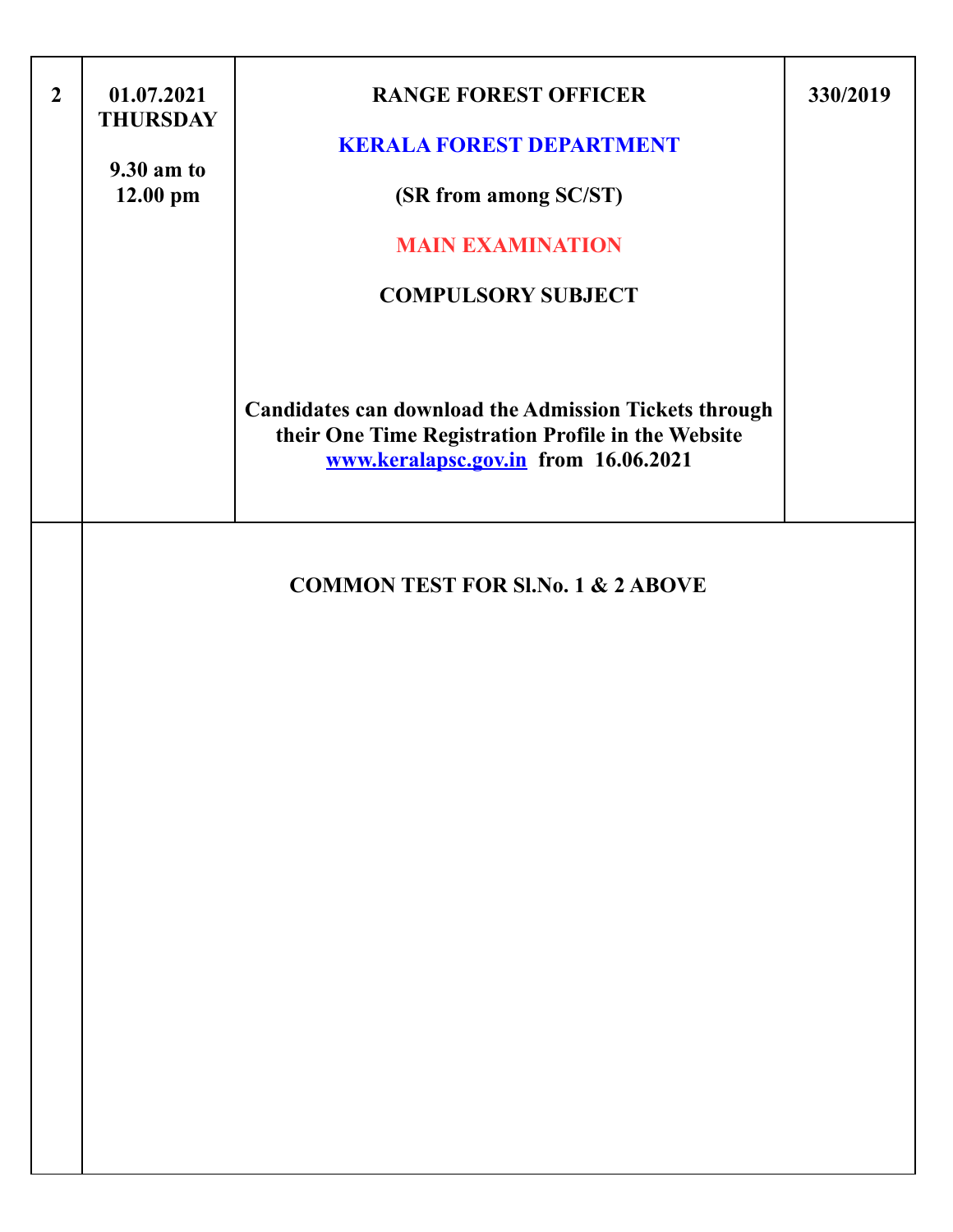| 9.30 am to<br>$12.00$ pm | (SR from among SC/ST)<br><b>MAIN EXAMINATION</b><br><b>COMPULSORY SUBJECT</b>                                                                              |  |
|--------------------------|------------------------------------------------------------------------------------------------------------------------------------------------------------|--|
|                          | <b>Candidates can download the Admission Tickets through</b><br>their One Time Registration Profile in the Website<br>www.keralapsc.gov.in from 16.06.2021 |  |
|                          | <b>COMMON TEST FOR SI.No. 1 &amp; 2 ABOVE</b>                                                                                                              |  |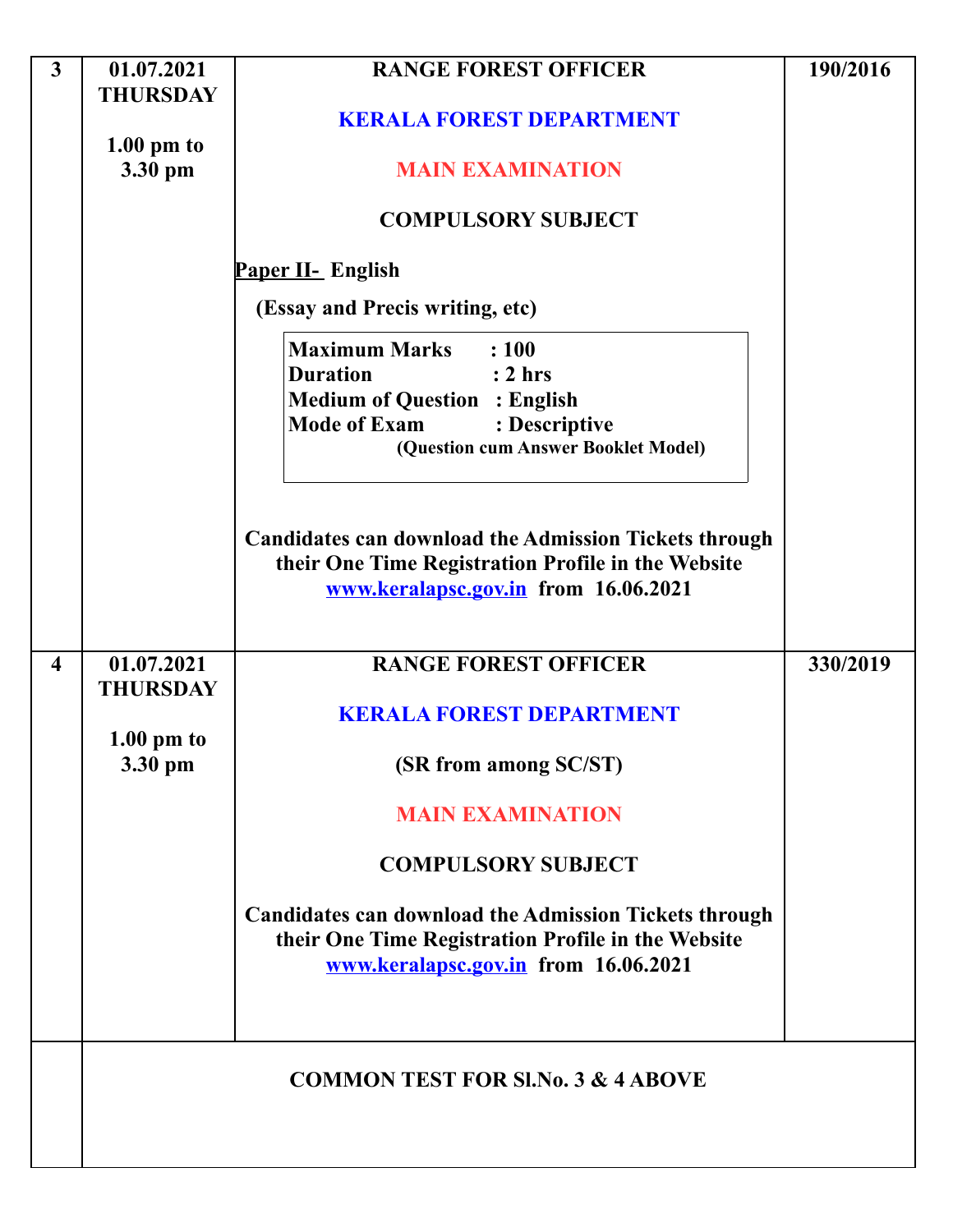| $\overline{3}$          | 01.07.2021                    | <b>RANGE FOREST OFFICER</b>                                                                                                                                                       | 190/2016 |
|-------------------------|-------------------------------|-----------------------------------------------------------------------------------------------------------------------------------------------------------------------------------|----------|
|                         | <b>THURSDAY</b>               |                                                                                                                                                                                   |          |
|                         | $1.00 \text{ pm}$ to          | <b>KERALA FOREST DEPARTMENT</b>                                                                                                                                                   |          |
|                         | 3.30 pm                       | <b>MAIN EXAMINATION</b>                                                                                                                                                           |          |
|                         |                               | <b>COMPULSORY SUBJECT</b>                                                                                                                                                         |          |
|                         |                               | <b>Paper II- English</b>                                                                                                                                                          |          |
|                         |                               | (Essay and Precis writing, etc)                                                                                                                                                   |          |
|                         |                               | <b>Maximum Marks</b><br>: 100<br><b>Duration</b><br>: 2 hrs<br><b>Medium of Question : English</b><br><b>Mode of Exam</b><br>: Descriptive<br>(Question cum Answer Booklet Model) |          |
|                         |                               | <b>Candidates can download the Admission Tickets through</b><br>their One Time Registration Profile in the Website<br>www.keralapsc.gov.in from 16.06.2021                        |          |
| $\overline{\mathbf{4}}$ | 01.07.2021<br><b>THURSDAY</b> | <b>RANGE FOREST OFFICER</b>                                                                                                                                                       | 330/2019 |
|                         |                               | <b>KERALA FOREST DEPARTMENT</b>                                                                                                                                                   |          |
|                         | $1.00$ pm to<br>3.30 pm       | (SR from among SC/ST)                                                                                                                                                             |          |
|                         |                               | <b>MAIN EXAMINATION</b>                                                                                                                                                           |          |
|                         |                               | <b>COMPULSORY SUBJECT</b>                                                                                                                                                         |          |
|                         |                               | <b>Candidates can download the Admission Tickets through</b><br>their One Time Registration Profile in the Website<br>www.keralapsc.gov.in from 16.06.2021                        |          |
|                         |                               | <b>COMMON TEST FOR SI.No. 3 &amp; 4 ABOVE</b>                                                                                                                                     |          |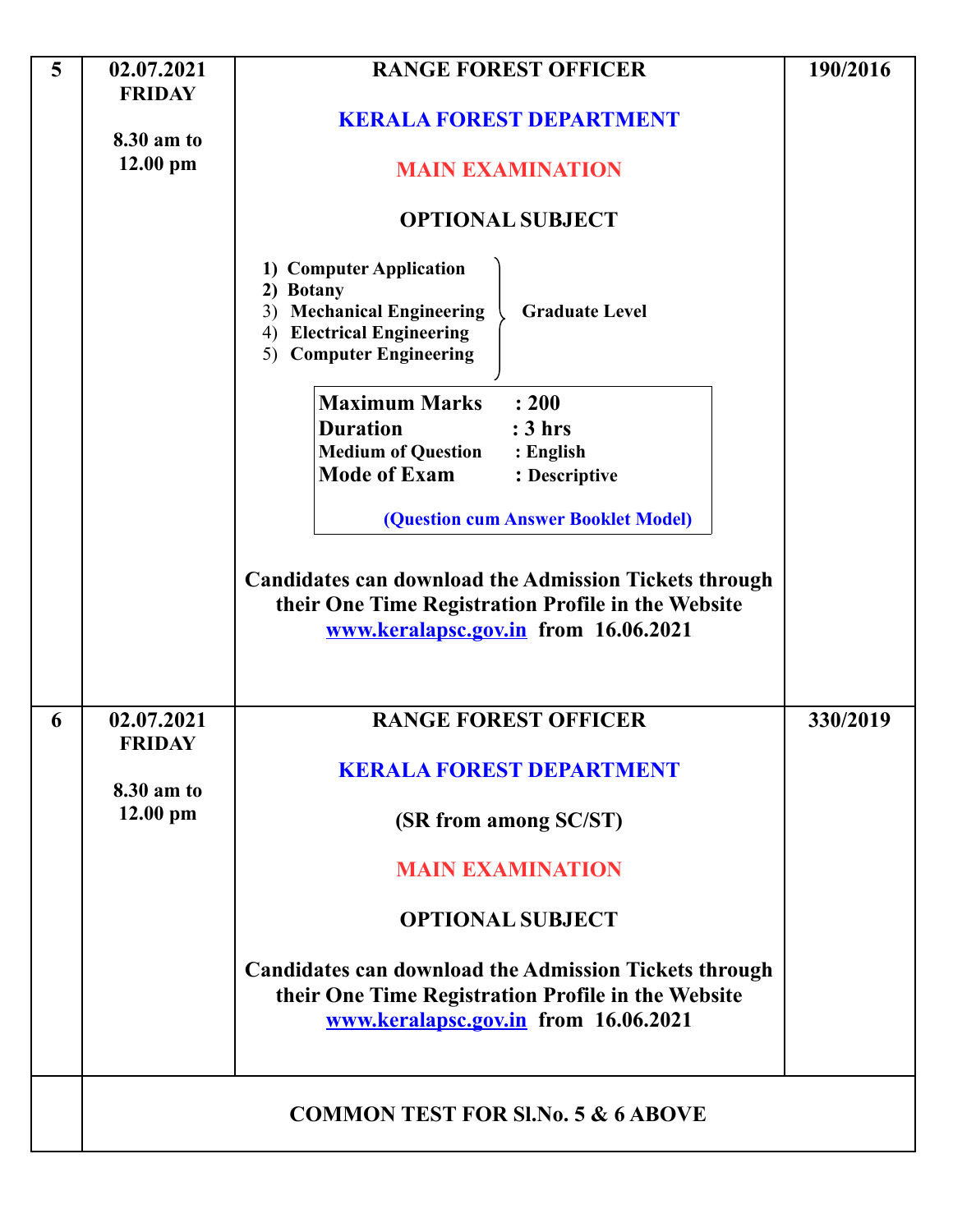| 5 | 02.07.2021                  | <b>RANGE FOREST OFFICER</b>                                                                                                                                  | 190/2016 |
|---|-----------------------------|--------------------------------------------------------------------------------------------------------------------------------------------------------------|----------|
|   | <b>FRIDAY</b><br>8.30 am to | <b>KERALA FOREST DEPARTMENT</b>                                                                                                                              |          |
|   | $12.00$ pm                  | <b>MAIN EXAMINATION</b>                                                                                                                                      |          |
|   |                             | <b>OPTIONAL SUBJECT</b>                                                                                                                                      |          |
|   |                             | 1) Computer Application<br>2) Botany<br>3) Mechanical Engineering<br><b>Graduate Level</b><br><b>Electrical Engineering</b><br>4)<br>5) Computer Engineering |          |
|   |                             | <b>Maximum Marks</b><br>: 200                                                                                                                                |          |
|   |                             | <b>Duration</b><br>: 3 hrs                                                                                                                                   |          |
|   |                             | <b>Medium of Question</b><br>: English<br><b>Mode of Exam</b>                                                                                                |          |
|   |                             | : Descriptive                                                                                                                                                |          |
|   |                             | (Question cum Answer Booklet Model)                                                                                                                          |          |
|   |                             | <b>Candidates can download the Admission Tickets through</b><br>their One Time Registration Profile in the Website<br>www.keralapsc.gov.in from 16.06.2021   |          |
| 6 | 02.07.2021                  | <b>RANGE FOREST OFFICER</b>                                                                                                                                  | 330/2019 |
|   | <b>FRIDAY</b><br>8.30 am to | <b>KERALA FOREST DEPARTMENT</b>                                                                                                                              |          |
|   | $12.00 \text{ pm}$          | (SR from among SC/ST)                                                                                                                                        |          |
|   |                             | <b>MAIN EXAMINATION</b>                                                                                                                                      |          |
|   |                             | <b>OPTIONAL SUBJECT</b>                                                                                                                                      |          |
|   |                             | <b>Candidates can download the Admission Tickets through</b><br>their One Time Registration Profile in the Website<br>www.keralapsc.gov.in from 16.06.2021   |          |
|   |                             | <b>COMMON TEST FOR SI.No. 5 &amp; 6 ABOVE</b>                                                                                                                |          |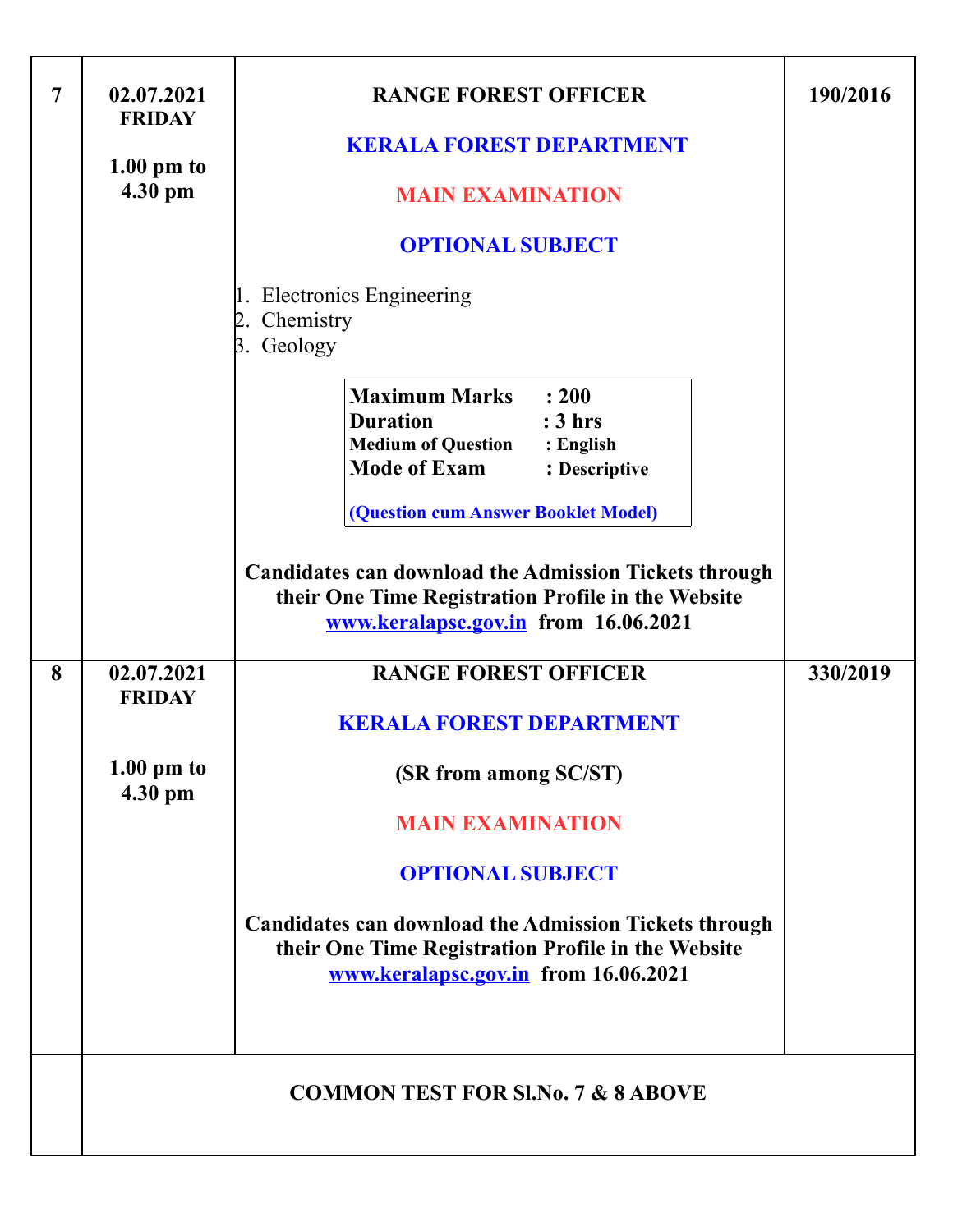| $\overline{7}$ | 02.07.2021<br><b>FRIDAY</b><br>$1.00 \text{ pm}$ to<br>4.30 pm | <b>RANGE FOREST OFFICER</b><br><b>KERALA FOREST DEPARTMENT</b><br><b>MAIN EXAMINATION</b><br><b>OPTIONAL SUBJECT</b><br>1. Electronics Engineering<br>Chemistry<br>$\beta$ . Geology                                                                                                                                                                  | 190/2016 |
|----------------|----------------------------------------------------------------|-------------------------------------------------------------------------------------------------------------------------------------------------------------------------------------------------------------------------------------------------------------------------------------------------------------------------------------------------------|----------|
|                |                                                                | <b>Maximum Marks</b> : 200<br>$:3 \text{ hrs}$<br><b>Duration</b><br><b>Medium of Question : English</b><br><b>Mode of Exam</b><br>: Descriptive<br>(Question cum Answer Booklet Model)<br><b>Candidates can download the Admission Tickets through</b><br>their One Time Registration Profile in the Website<br>www.keralapsc.gov.in from 16.06.2021 |          |
| 8              | 02.07.2021<br><b>FRIDAY</b>                                    | <b>RANGE FOREST OFFICER</b><br><b>KERALA FOREST DEPARTMENT</b>                                                                                                                                                                                                                                                                                        | 330/2019 |
|                | $1.00 \text{ pm}$ to<br>4.30 pm                                | (SR from among SC/ST)                                                                                                                                                                                                                                                                                                                                 |          |
|                |                                                                | <b>MAIN EXAMINATION</b><br><b>OPTIONAL SUBJECT</b>                                                                                                                                                                                                                                                                                                    |          |
|                |                                                                | <b>Candidates can download the Admission Tickets through</b><br>their One Time Registration Profile in the Website<br>www.keralapsc.gov.in from 16.06.2021                                                                                                                                                                                            |          |
|                |                                                                | <b>COMMON TEST FOR SI.No. 7 &amp; 8 ABOVE</b>                                                                                                                                                                                                                                                                                                         |          |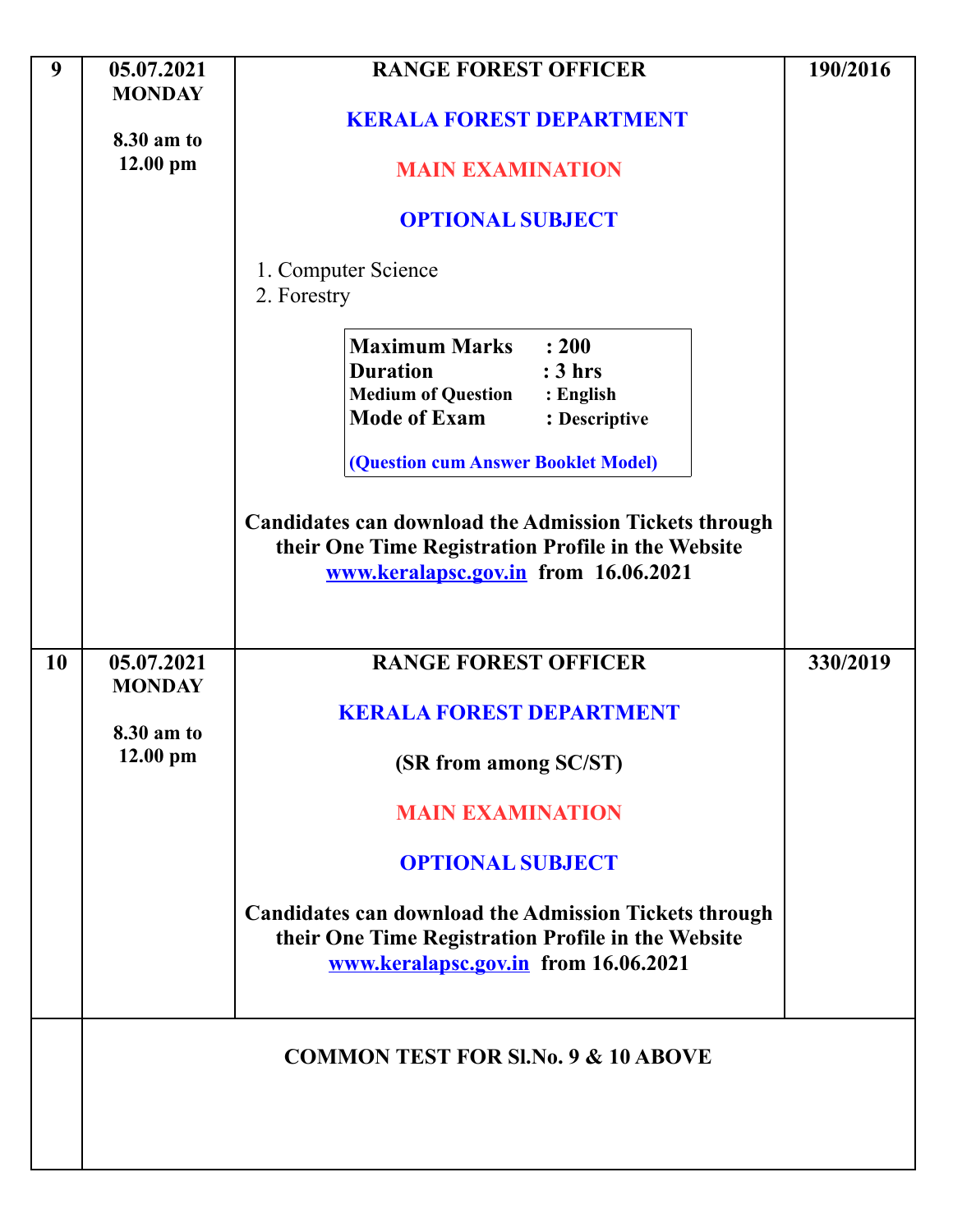| 9  | 05.07.2021<br><b>MONDAY</b> | <b>RANGE FOREST OFFICER</b>                                                                                                                                                                | 190/2016 |
|----|-----------------------------|--------------------------------------------------------------------------------------------------------------------------------------------------------------------------------------------|----------|
|    | 8.30 am to                  | <b>KERALA FOREST DEPARTMENT</b>                                                                                                                                                            |          |
|    | $12.00$ pm                  | <b>MAIN EXAMINATION</b>                                                                                                                                                                    |          |
|    |                             | <b>OPTIONAL SUBJECT</b>                                                                                                                                                                    |          |
|    |                             | 1. Computer Science<br>2. Forestry                                                                                                                                                         |          |
|    |                             | <b>Maximum Marks</b><br>: 200<br><b>Duration</b><br>$:3 \text{ hrs}$<br><b>Medium of Question : English</b><br><b>Mode of Exam</b><br>: Descriptive<br>(Question cum Answer Booklet Model) |          |
|    |                             | <b>Candidates can download the Admission Tickets through</b><br>their One Time Registration Profile in the Website<br>www.keralapsc.gov.in from 16.06.2021                                 |          |
| 10 | 05.07.2021<br><b>MONDAY</b> | <b>RANGE FOREST OFFICER</b>                                                                                                                                                                | 330/2019 |
|    | 8.30 am to                  | <b>KERALA FOREST DEPARTMENT</b>                                                                                                                                                            |          |
|    | $12.00$ pm                  | (SR from among SC/ST)                                                                                                                                                                      |          |
|    |                             | <b>MAIN EXAMINATION</b>                                                                                                                                                                    |          |
|    |                             | <b>OPTIONAL SUBJECT</b>                                                                                                                                                                    |          |
|    |                             | <b>Candidates can download the Admission Tickets through</b><br>their One Time Registration Profile in the Website<br>www.keralapsc.gov.in from 16.06.2021                                 |          |
|    |                             | <b>COMMON TEST FOR SI.No. 9 &amp; 10 ABOVE</b>                                                                                                                                             |          |
|    |                             |                                                                                                                                                                                            |          |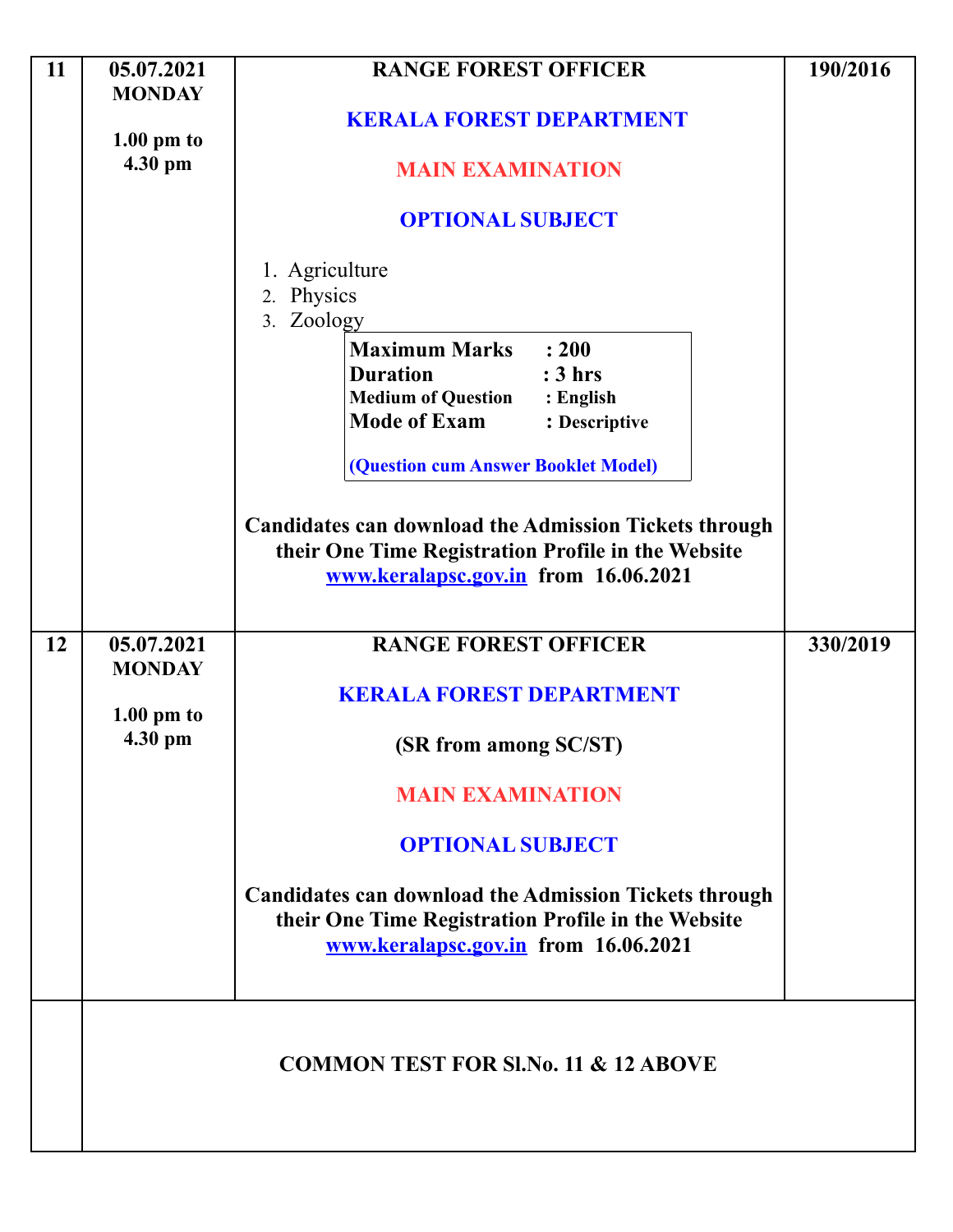| 11 | 05.07.2021<br><b>MONDAY</b>                         | <b>RANGE FOREST OFFICER</b>                                                                                                                                                                                                                                                                                                                                                                   | 190/2016 |
|----|-----------------------------------------------------|-----------------------------------------------------------------------------------------------------------------------------------------------------------------------------------------------------------------------------------------------------------------------------------------------------------------------------------------------------------------------------------------------|----------|
|    | $1.00 \text{ pm}$ to                                | <b>KERALA FOREST DEPARTMENT</b>                                                                                                                                                                                                                                                                                                                                                               |          |
|    | 4.30 pm                                             | <b>MAIN EXAMINATION</b>                                                                                                                                                                                                                                                                                                                                                                       |          |
|    |                                                     | <b>OPTIONAL SUBJECT</b>                                                                                                                                                                                                                                                                                                                                                                       |          |
|    |                                                     | 1. Agriculture<br>2. Physics<br>3. Zoology<br><b>Maximum Marks</b><br>: 200<br><b>Duration</b><br>: 3 hrs<br><b>Medium of Question : English</b><br><b>Mode of Exam</b><br>: Descriptive<br>(Question cum Answer Booklet Model)<br><b>Candidates can download the Admission Tickets through</b><br>their One Time Registration Profile in the Website<br>www.keralapsc.gov.in from 16.06.2021 |          |
|    |                                                     |                                                                                                                                                                                                                                                                                                                                                                                               |          |
| 12 | 05.07.2021<br><b>MONDAY</b><br>$1.00 \text{ pm}$ to | <b>RANGE FOREST OFFICER</b><br><b>KERALA FOREST DEPARTMENT</b>                                                                                                                                                                                                                                                                                                                                | 330/2019 |
|    | 4.30 pm                                             | (SR from among SC/ST)                                                                                                                                                                                                                                                                                                                                                                         |          |
|    |                                                     | <b>MAIN EXAMINATION</b>                                                                                                                                                                                                                                                                                                                                                                       |          |
|    |                                                     | <b>OPTIONAL SUBJECT</b>                                                                                                                                                                                                                                                                                                                                                                       |          |
|    |                                                     | <b>Candidates can download the Admission Tickets through</b><br>their One Time Registration Profile in the Website<br>www.keralapsc.gov.in from 16.06.2021                                                                                                                                                                                                                                    |          |
|    |                                                     | <b>COMMON TEST FOR SLNo. 11 &amp; 12 ABOVE</b>                                                                                                                                                                                                                                                                                                                                                |          |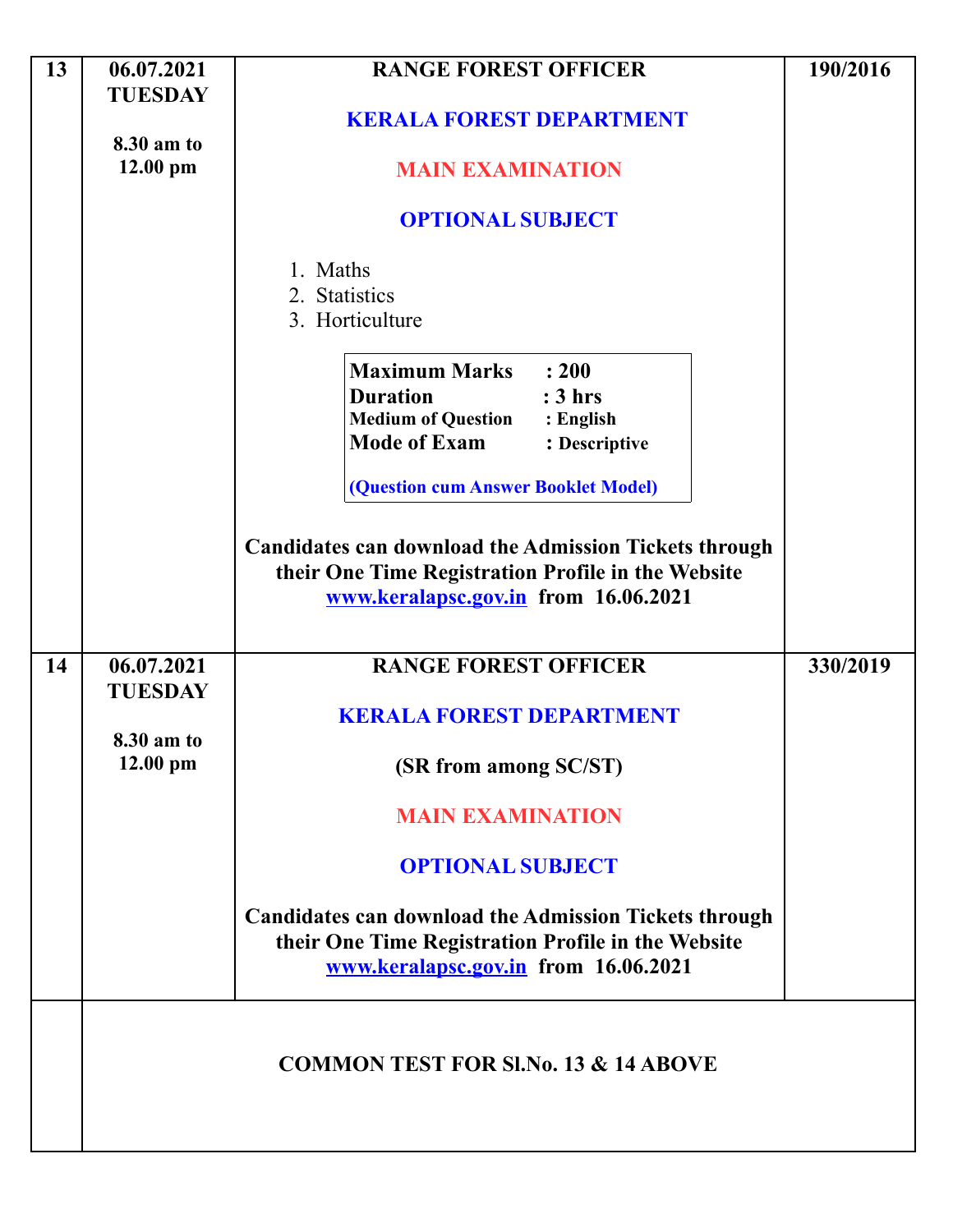| 13 | 06.07.2021                   | <b>RANGE FOREST OFFICER</b>                                                                                                                                                                                                                                                                                                                                                                  | 190/2016 |
|----|------------------------------|----------------------------------------------------------------------------------------------------------------------------------------------------------------------------------------------------------------------------------------------------------------------------------------------------------------------------------------------------------------------------------------------|----------|
|    | <b>TUESDAY</b>               | <b>KERALA FOREST DEPARTMENT</b>                                                                                                                                                                                                                                                                                                                                                              |          |
|    | 8.30 am to<br>$12.00$ pm     | <b>MAIN EXAMINATION</b>                                                                                                                                                                                                                                                                                                                                                                      |          |
|    |                              | <b>OPTIONAL SUBJECT</b>                                                                                                                                                                                                                                                                                                                                                                      |          |
|    |                              | 1. Maths<br>2. Statistics<br>3. Horticulture<br><b>Maximum Marks</b> : 200<br><b>Duration</b><br>: 3 hrs<br><b>Medium of Question : English</b><br><b>Mode of Exam</b><br>: Descriptive<br>(Question cum Answer Booklet Model)<br><b>Candidates can download the Admission Tickets through</b><br>their One Time Registration Profile in the Website<br>www.keralapsc.gov.in from 16.06.2021 |          |
| 14 | 06.07.2021<br><b>TUESDAY</b> | <b>RANGE FOREST OFFICER</b>                                                                                                                                                                                                                                                                                                                                                                  | 330/2019 |
|    | 8.30 am to<br>$12.00$ pm     | <b>KERALA FOREST DEPARTMENT</b><br>(SR from among SC/ST)                                                                                                                                                                                                                                                                                                                                     |          |
|    |                              | <b>MAIN EXAMINATION</b>                                                                                                                                                                                                                                                                                                                                                                      |          |
|    |                              | <b>OPTIONAL SUBJECT</b>                                                                                                                                                                                                                                                                                                                                                                      |          |
|    |                              | <b>Candidates can download the Admission Tickets through</b><br>their One Time Registration Profile in the Website<br>www.keralapsc.gov.in from 16.06.2021                                                                                                                                                                                                                                   |          |
|    |                              | <b>COMMON TEST FOR SI.No. 13 &amp; 14 ABOVE</b>                                                                                                                                                                                                                                                                                                                                              |          |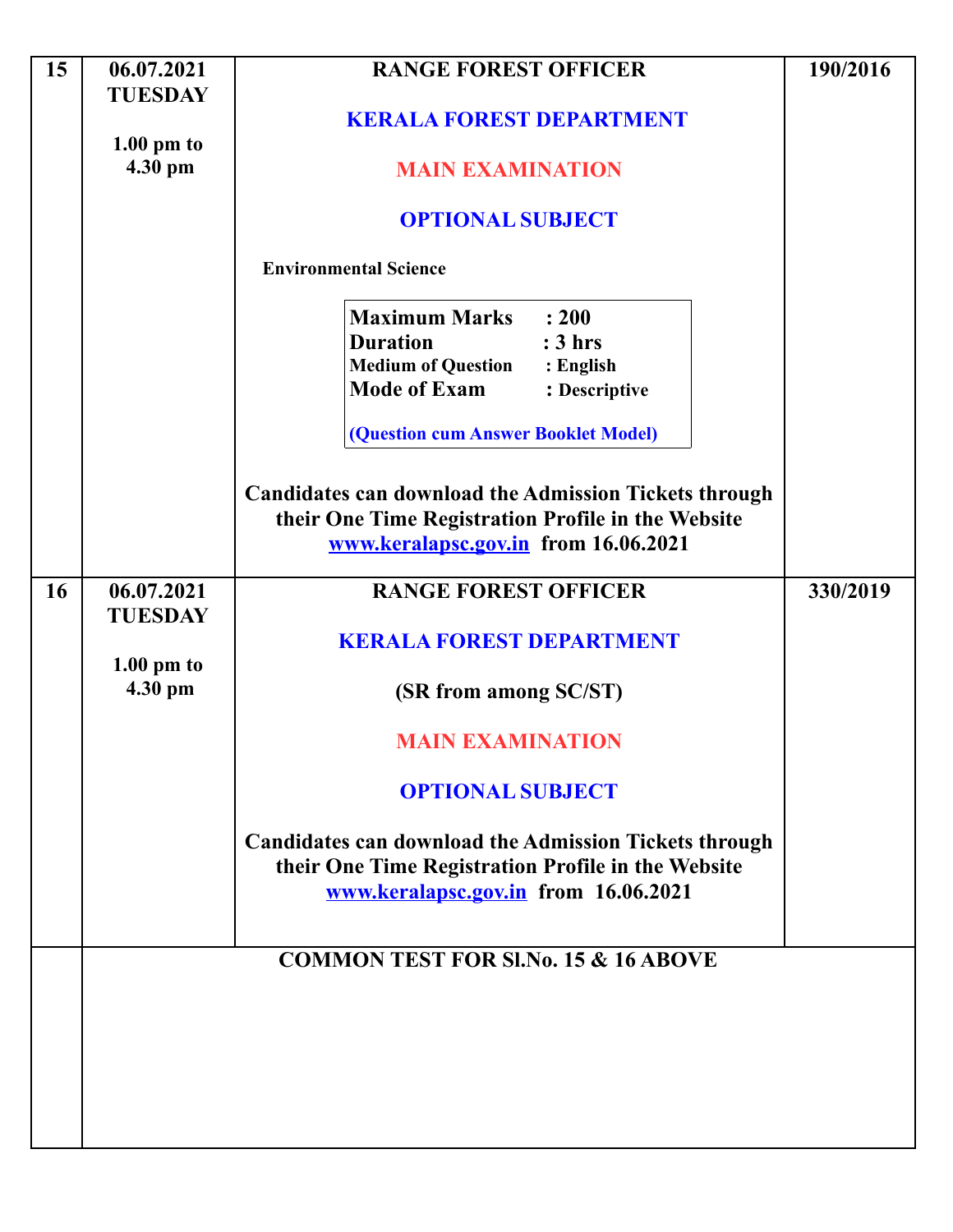| 15 | 06.07.2021<br><b>TUESDAY</b>    | <b>RANGE FOREST OFFICER</b>                                                                                                                                                    | 190/2016 |
|----|---------------------------------|--------------------------------------------------------------------------------------------------------------------------------------------------------------------------------|----------|
|    |                                 | <b>KERALA FOREST DEPARTMENT</b>                                                                                                                                                |          |
|    | $1.00 \text{ pm}$ to<br>4.30 pm | <b>MAIN EXAMINATION</b>                                                                                                                                                        |          |
|    |                                 | <b>OPTIONAL SUBJECT</b>                                                                                                                                                        |          |
|    |                                 | <b>Environmental Science</b>                                                                                                                                                   |          |
|    |                                 | <b>Maximum Marks</b> : 200<br><b>Duration</b><br>: 3 hrs<br><b>Medium of Question : English</b><br><b>Mode of Exam</b><br>: Descriptive<br>(Question cum Answer Booklet Model) |          |
|    |                                 | <b>Candidates can download the Admission Tickets through</b><br>their One Time Registration Profile in the Website<br>www.keralapsc.gov.in from 16.06.2021                     |          |
| 16 | 06.07.2021<br><b>TUESDAY</b>    | <b>RANGE FOREST OFFICER</b>                                                                                                                                                    | 330/2019 |
|    | $1.00$ pm to                    | <b>KERALA FOREST DEPARTMENT</b>                                                                                                                                                |          |
|    | 4.30 pm                         | (SR from among SC/ST)                                                                                                                                                          |          |
|    |                                 | <b>MAIN EXAMINATION</b>                                                                                                                                                        |          |
|    |                                 | <b>OPTIONAL SUBJECT</b>                                                                                                                                                        |          |
|    |                                 | <b>Candidates can download the Admission Tickets through</b><br>their One Time Registration Profile in the Website<br>www.keralapsc.gov.in from 16.06.2021                     |          |
|    |                                 | <b>COMMON TEST FOR SLNo. 15 &amp; 16 ABOVE</b>                                                                                                                                 |          |
|    |                                 |                                                                                                                                                                                |          |
|    |                                 |                                                                                                                                                                                |          |
|    |                                 |                                                                                                                                                                                |          |
|    |                                 |                                                                                                                                                                                |          |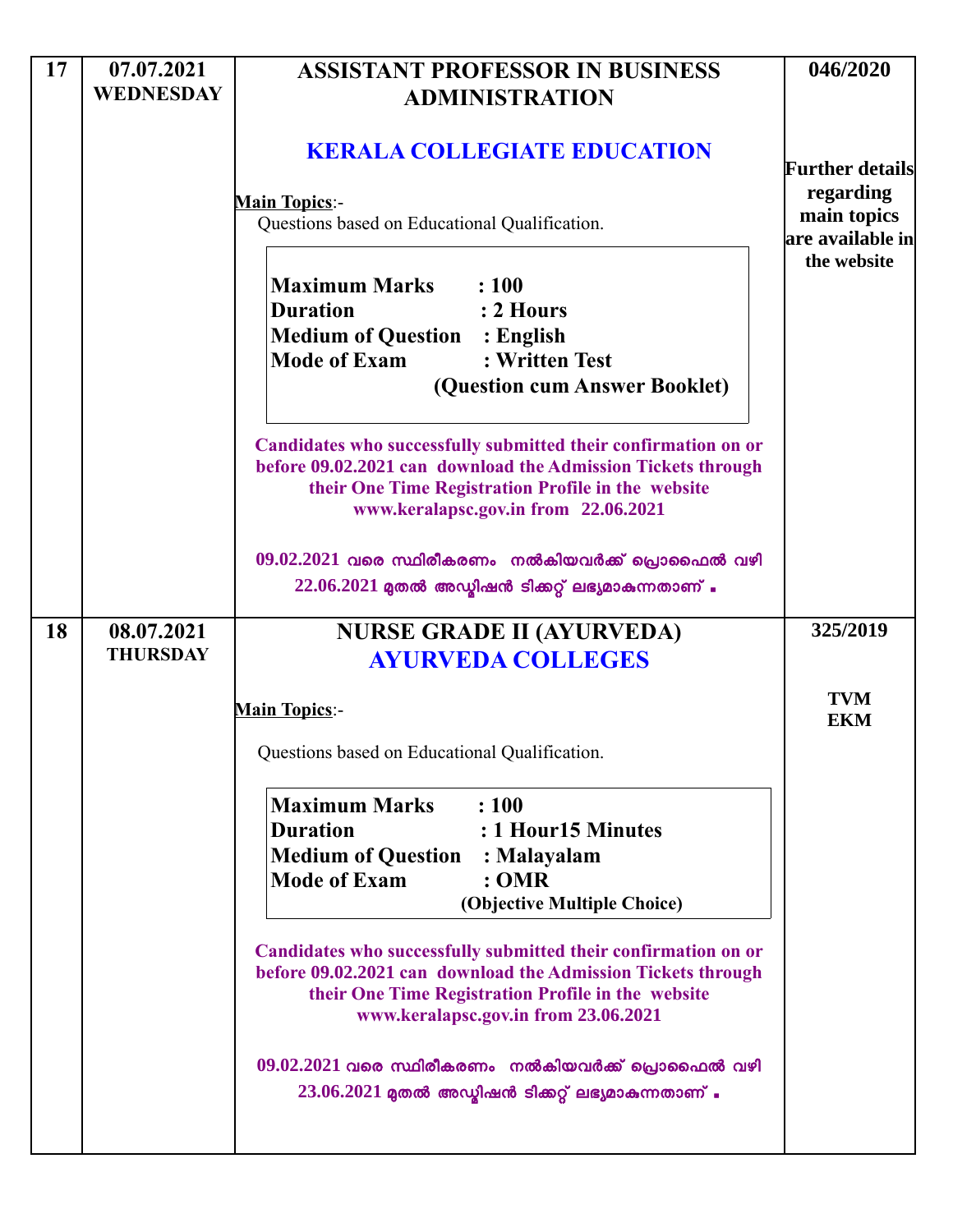| 17 | 07.07.2021<br><b>WEDNESDAY</b> | <b>ASSISTANT PROFESSOR IN BUSINESS</b><br><b>ADMINISTRATION</b>                                                                                                                                                                                                                                                                                                                                                                                                                                                                 | 046/2020                                                               |
|----|--------------------------------|---------------------------------------------------------------------------------------------------------------------------------------------------------------------------------------------------------------------------------------------------------------------------------------------------------------------------------------------------------------------------------------------------------------------------------------------------------------------------------------------------------------------------------|------------------------------------------------------------------------|
|    |                                | <b>KERALA COLLEGIATE EDUCATION</b><br><b>Main Topics:-</b><br>Questions based on Educational Qualification.                                                                                                                                                                                                                                                                                                                                                                                                                     | <b>Further details</b><br>regarding<br>main topics<br>are available in |
|    |                                | <b>Maximum Marks</b><br>: 100<br><b>Duration</b><br>: 2 Hours<br><b>Medium of Question : English</b><br><b>Mode of Exam</b><br>: Written Test<br>(Question cum Answer Booklet)                                                                                                                                                                                                                                                                                                                                                  | the website                                                            |
|    |                                | Candidates who successfully submitted their confirmation on or<br>before 09.02.2021 can download the Admission Tickets through<br>their One Time Registration Profile in the website<br>www.keralapsc.gov.in from 22.06.2021                                                                                                                                                                                                                                                                                                    |                                                                        |
|    |                                | $09.02.2021$ വരെ സ്ഥിരീകരണം നൽകിയവർക്ക് പ്രൊഫൈൽ വഴി<br>$22.06.2021$ മുതൽ അഡ്മിഷൻ ടിക്കറ്റ് ലഭ്യമാകുന്നതാണ് .                                                                                                                                                                                                                                                                                                                                                                                                                    |                                                                        |
| 18 | 08.07.2021<br><b>THURSDAY</b>  | <b>NURSE GRADE II (AYURVEDA)</b><br><b>AYURVEDA COLLEGES</b>                                                                                                                                                                                                                                                                                                                                                                                                                                                                    | 325/2019                                                               |
|    |                                | <b>Main Topics:-</b><br>Questions based on Educational Qualification.                                                                                                                                                                                                                                                                                                                                                                                                                                                           | <b>TVM</b><br><b>EKM</b>                                               |
|    |                                | <b>Maximum Marks</b><br>: 100<br><b>Duration</b><br>: 1 Hour15 Minutes<br><b>Medium of Question</b><br>: Malayalam<br><b>Mode of Exam</b><br>:OMR<br>(Objective Multiple Choice)<br>Candidates who successfully submitted their confirmation on or<br>before 09.02.2021 can download the Admission Tickets through<br>their One Time Registration Profile in the website<br>www.keralapsc.gov.in from 23.06.2021<br>$09.02.2021$ വരെ സ്ഥിരീകരണം നൽകിയവർക്ക് പ്രൊഫൈൽ വഴി<br>$23.06.2021$ മുതൽ അഡ്മിഷൻ ടിക്കറ്റ് ലഭ്യമാകുന്നതാണ്. |                                                                        |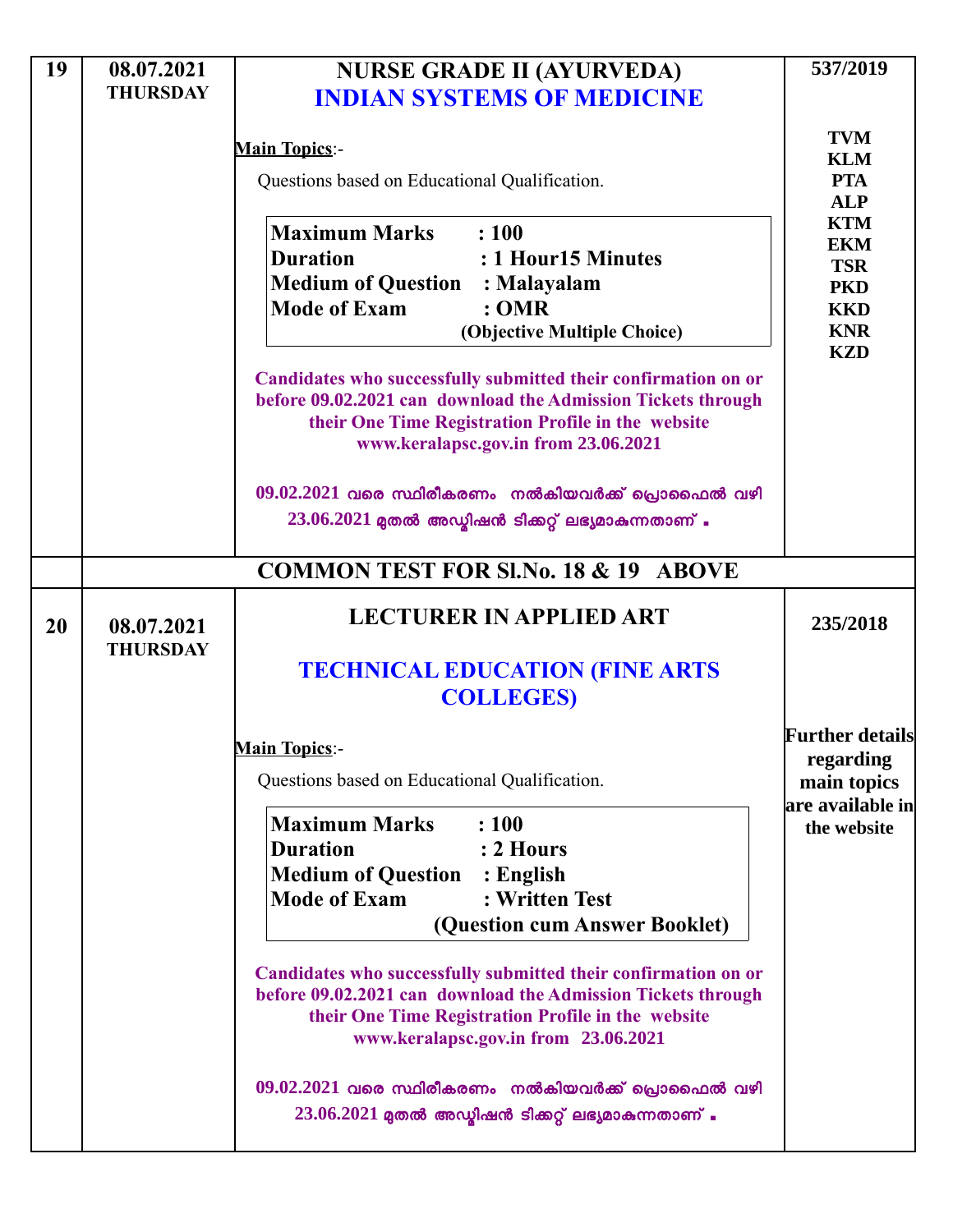| 19 | 08.07.2021      | <b>NURSE GRADE II (AYURVEDA)</b>                                   | 537/2019                     |
|----|-----------------|--------------------------------------------------------------------|------------------------------|
|    | <b>THURSDAY</b> | <b>INDIAN SYSTEMS OF MEDICINE</b>                                  |                              |
|    |                 |                                                                    | <b>TVM</b>                   |
|    |                 | <b>Main Topics:-</b>                                               | <b>KLM</b>                   |
|    |                 | Questions based on Educational Qualification.                      | <b>PTA</b>                   |
|    |                 |                                                                    | <b>ALP</b><br><b>KTM</b>     |
|    |                 | <b>Maximum Marks</b><br>: 100                                      | <b>EKM</b>                   |
|    |                 | <b>Duration</b><br>: 1 Hour15 Minutes                              | <b>TSR</b>                   |
|    |                 | <b>Medium of Question : Malayalam</b>                              | <b>PKD</b>                   |
|    |                 | <b>Mode of Exam</b><br>: <b>OMR</b><br>(Objective Multiple Choice) | <b>KKD</b><br><b>KNR</b>     |
|    |                 |                                                                    | <b>KZD</b>                   |
|    |                 | Candidates who successfully submitted their confirmation on or     |                              |
|    |                 | before 09.02.2021 can download the Admission Tickets through       |                              |
|    |                 | their One Time Registration Profile in the website                 |                              |
|    |                 | www.keralapsc.gov.in from 23.06.2021                               |                              |
|    |                 | $09.02.2021$ വരെ സ്ഥിരീകരണം നൽകിയവർക്ക് പ്രൊഫൈൽ വഴി                |                              |
|    |                 | $23.06.2021$ മുതൽ അഡ്മിഷൻ ടിക്കറ്റ് ലഭ്യമാകുന്നതാണ് .              |                              |
|    |                 |                                                                    |                              |
|    |                 | <b>COMMON TEST FOR SI.No. 18 &amp; 19 ABOVE</b>                    |                              |
| 20 | 08.07.2021      | <b>LECTURER IN APPLIED ART</b>                                     | 235/2018                     |
|    | <b>THURSDAY</b> | <b>TECHNICAL EDUCATION (FINE ARTS)</b>                             |                              |
|    |                 | <b>COLLEGES</b>                                                    |                              |
|    |                 |                                                                    |                              |
|    |                 | <b>Main Topics:-</b>                                               | Further details<br>regarding |
|    |                 | Questions based on Educational Qualification.                      | main topics                  |
|    |                 |                                                                    | are available in             |
|    |                 | <b>Maximum Marks</b><br>: 100                                      | the website                  |
|    |                 | <b>Duration</b><br>: 2 Hours                                       |                              |
|    |                 | <b>Medium of Question</b><br>$:$ English                           |                              |
|    |                 | <b>Mode of Exam</b><br>: Written Test                              |                              |
|    |                 | (Question cum Answer Booklet)                                      |                              |
|    |                 | Candidates who successfully submitted their confirmation on or     |                              |
|    |                 | before 09.02.2021 can download the Admission Tickets through       |                              |
|    |                 | their One Time Registration Profile in the website                 |                              |
|    |                 | www.keralapsc.gov.in from 23.06.2021                               |                              |
|    |                 | $09.02.2021$ വരെ സ്ഥിരീകരണം നൽകിയവർക്ക് പ്രൊഫൈൽ വഴി                |                              |
|    |                 | $23.06.2021$ മുതൽ അഡ്മിഷൻ ടിക്കറ്റ് ലഭ്യമാകുന്നതാണ്.               |                              |
|    |                 |                                                                    |                              |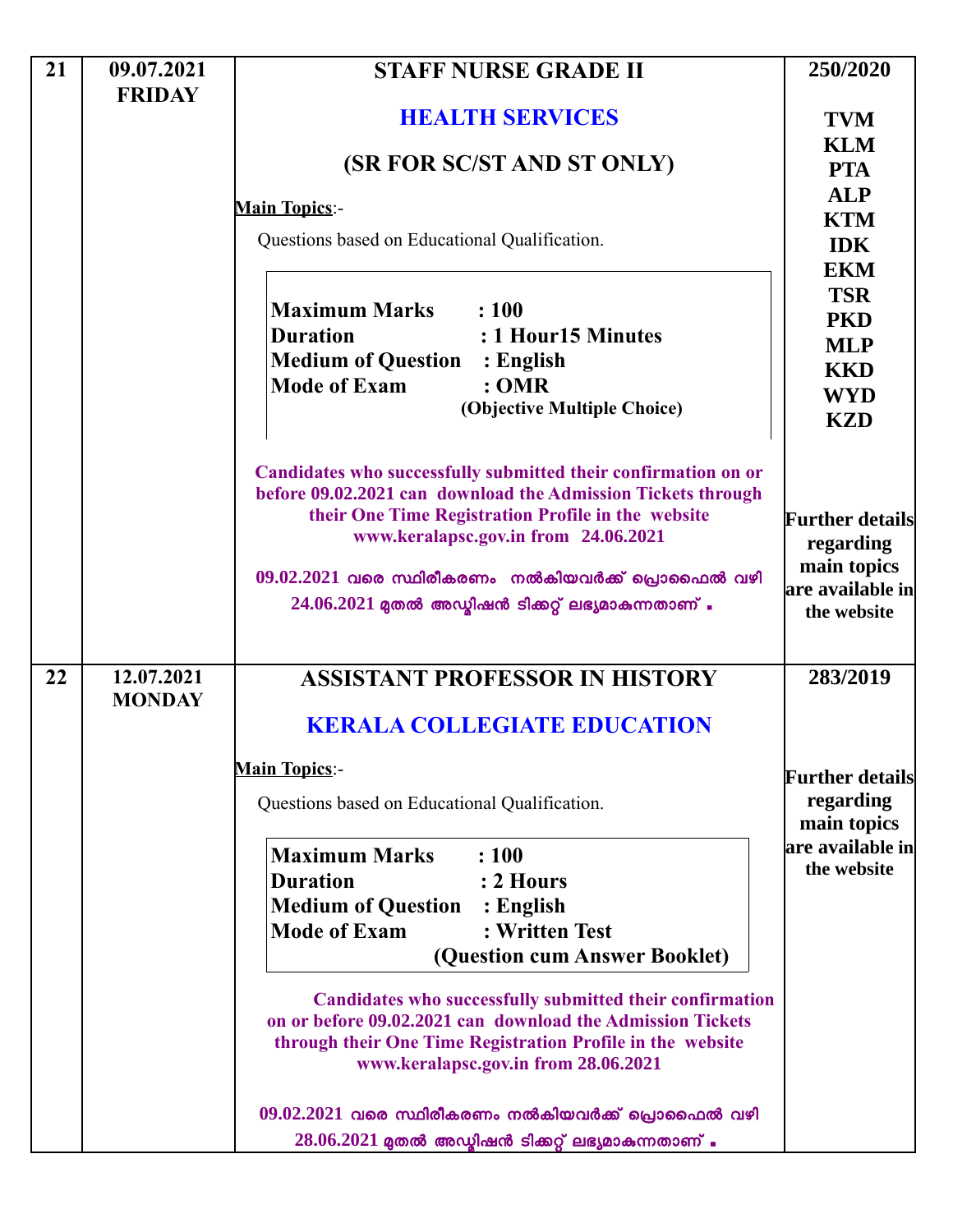| 21 | 09.07.2021                  | <b>STAFF NURSE GRADE II</b>                                                                                                                                                                                                                                                                                                                  | 250/2020                                                                                      |
|----|-----------------------------|----------------------------------------------------------------------------------------------------------------------------------------------------------------------------------------------------------------------------------------------------------------------------------------------------------------------------------------------|-----------------------------------------------------------------------------------------------|
|    | <b>FRIDAY</b>               | <b>HEALTH SERVICES</b>                                                                                                                                                                                                                                                                                                                       | <b>TVM</b>                                                                                    |
|    |                             | <b>(SR FOR SC/ST AND ST ONLY)</b>                                                                                                                                                                                                                                                                                                            | <b>KLM</b>                                                                                    |
|    |                             |                                                                                                                                                                                                                                                                                                                                              | <b>PTA</b><br><b>ALP</b>                                                                      |
|    |                             | <b>Main Topics:-</b>                                                                                                                                                                                                                                                                                                                         | <b>KTM</b>                                                                                    |
|    |                             | Questions based on Educational Qualification.                                                                                                                                                                                                                                                                                                | <b>IDK</b>                                                                                    |
|    |                             |                                                                                                                                                                                                                                                                                                                                              | <b>EKM</b>                                                                                    |
|    |                             | <b>Maximum Marks</b> : 100                                                                                                                                                                                                                                                                                                                   | <b>TSR</b>                                                                                    |
|    |                             | <b>Duration</b><br>: 1 Hour15 Minutes                                                                                                                                                                                                                                                                                                        | <b>PKD</b>                                                                                    |
|    |                             | <b>Medium of Question : English</b>                                                                                                                                                                                                                                                                                                          | <b>MLP</b><br><b>KKD</b>                                                                      |
|    |                             | <b>Mode of Exam</b><br>:OMR                                                                                                                                                                                                                                                                                                                  | <b>WYD</b>                                                                                    |
|    |                             | (Objective Multiple Choice)                                                                                                                                                                                                                                                                                                                  | <b>KZD</b>                                                                                    |
|    |                             | Candidates who successfully submitted their confirmation on or<br>before 09.02.2021 can download the Admission Tickets through<br>their One Time Registration Profile in the website<br>www.keralapsc.gov.in from 24.06.2021<br>$09.02.2021$ വരെ സ്ഥിരീകരണം നൽകിയവർക്ക് പ്രൊഫൈൽ വഴി<br>$24.06.2021$ മുതൽ അഡ്യിഷൻ ടിക്കറ്റ് ലഭ്യമാകുന്നതാണ് . | <b>Further details</b><br>regarding<br>main topics<br>$ $ are available in $ $<br>the website |
| 22 | 12.07.2021<br><b>MONDAY</b> | <b>ASSISTANT PROFESSOR IN HISTORY</b>                                                                                                                                                                                                                                                                                                        | 283/2019                                                                                      |
|    |                             | <b>KERALA COLLEGIATE EDUCATION</b>                                                                                                                                                                                                                                                                                                           |                                                                                               |
|    |                             | <b>Main Topics:-</b>                                                                                                                                                                                                                                                                                                                         | <b>Further details</b>                                                                        |
|    |                             | Questions based on Educational Qualification.                                                                                                                                                                                                                                                                                                | regarding<br>main topics                                                                      |
|    |                             | <b>Maximum Marks</b><br>: 100                                                                                                                                                                                                                                                                                                                | are available in                                                                              |
|    |                             | <b>Duration</b><br>: 2 Hours                                                                                                                                                                                                                                                                                                                 | the website                                                                                   |
|    |                             | <b>Medium of Question</b><br>$:$ English                                                                                                                                                                                                                                                                                                     |                                                                                               |
|    |                             | <b>Mode of Exam</b><br>: Written Test                                                                                                                                                                                                                                                                                                        |                                                                                               |
|    |                             | (Question cum Answer Booklet)                                                                                                                                                                                                                                                                                                                |                                                                                               |
|    |                             | Candidates who successfully submitted their confirmation                                                                                                                                                                                                                                                                                     |                                                                                               |
|    |                             | on or before 09.02.2021 can download the Admission Tickets<br>through their One Time Registration Profile in the website                                                                                                                                                                                                                     |                                                                                               |
|    |                             | www.keralapsc.gov.in from 28.06.2021                                                                                                                                                                                                                                                                                                         |                                                                                               |
|    |                             | $09.02.2021$ വരെ സ്ഥിരീകരണം നൽകിയവർക്ക് പ്രൊഫൈൽ വഴി                                                                                                                                                                                                                                                                                          |                                                                                               |
|    |                             | $28.06.2021$ മുതൽ അഡ്യിഷൻ ടിക്കറ്റ് ലഭ്യമാകുന്നതാണ് .                                                                                                                                                                                                                                                                                        |                                                                                               |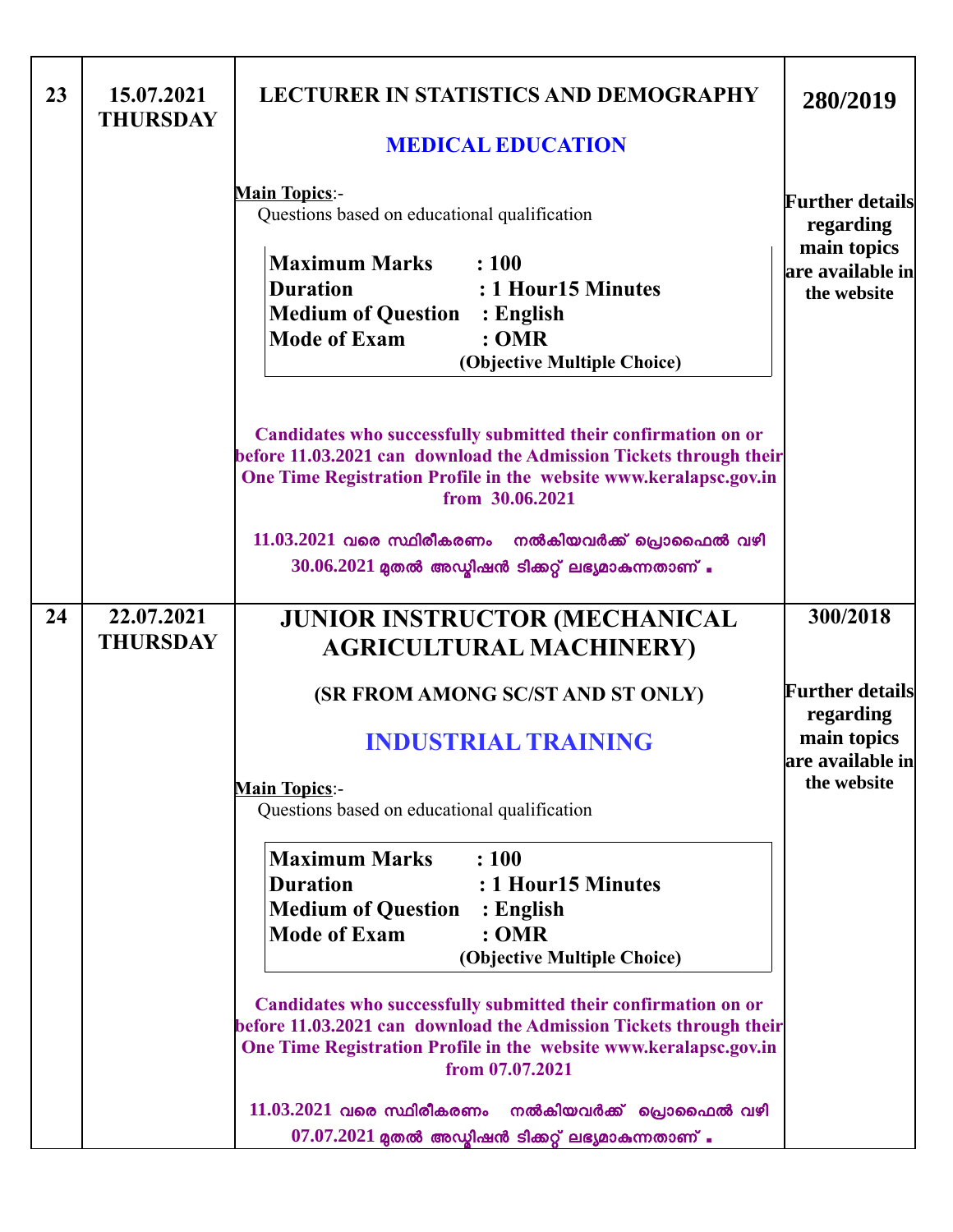| 23 | 15.07.2021<br><b>THURSDAY</b> | <b>LECTURER IN STATISTICS AND DEMOGRAPHY</b><br><b>MEDICAL EDUCATION</b>                                                                                                                                                     | 280/2019                                               |
|----|-------------------------------|------------------------------------------------------------------------------------------------------------------------------------------------------------------------------------------------------------------------------|--------------------------------------------------------|
|    |                               | <b>Main Topics:-</b><br>Questions based on educational qualification                                                                                                                                                         | <b>Further details</b><br>regarding                    |
|    |                               | <b>Maximum Marks</b><br>: 100<br>: 1 Hour15 Minutes<br><b>Duration</b><br><b>Medium of Question : English</b><br><b>Mode of Exam</b><br>: <b>OMR</b><br>(Objective Multiple Choice)                                          | main topics<br>$ $ are available in $ $<br>the website |
|    |                               | Candidates who successfully submitted their confirmation on or<br>before 11.03.2021 can download the Admission Tickets through their<br>One Time Registration Profile in the website www.keralapsc.gov.in<br>from 30.06.2021 |                                                        |
|    |                               | $11.03.2021$ വരെ സ്ഥിരീകരണം നൽകിയവർക്ക് പ്രൊഫൈൽ വഴി<br>$30.06.2021$ മുതൽ അഡ്മിഷൻ ടിക്കറ്റ് ലഭ്യമാകുന്നതാണ് .                                                                                                                 |                                                        |
| 24 | 22.07.2021<br><b>THURSDAY</b> | <b>JUNIOR INSTRUCTOR (MECHANICAL</b><br><b>AGRICULTURAL MACHINERY)</b>                                                                                                                                                       | 300/2018                                               |
|    |                               | (SR FROM AMONG SC/ST AND ST ONLY)<br><b>INDUSTRIAL TRAINING</b>                                                                                                                                                              | <b>Further details</b><br>regarding<br>main topics     |
|    |                               | <b>Main Topics:-</b><br>Questions based on educational qualification                                                                                                                                                         | are available in<br>the website                        |
|    |                               | <b>Maximum Marks</b><br>: 100<br><b>Duration</b><br>: 1 Hour15 Minutes<br><b>Medium of Question</b><br>$:$ English<br><b>Mode of Exam</b><br>:OMR<br>(Objective Multiple Choice)                                             |                                                        |
|    |                               | Candidates who successfully submitted their confirmation on or<br>before 11.03.2021 can download the Admission Tickets through their<br>One Time Registration Profile in the website www.keralapsc.gov.in<br>from 07.07.2021 |                                                        |
|    |                               | $11.03.2021$ വരെ സ്ഥിരീകരണം സൽകിയവർക്ക് പ്രൊഫൈൽ വഴി<br>$07.07.2021$ മുതൽ അഡ്മിഷൻ ടിക്കറ്റ് ലഭ്യമാകുന്നതാണ് .                                                                                                                 |                                                        |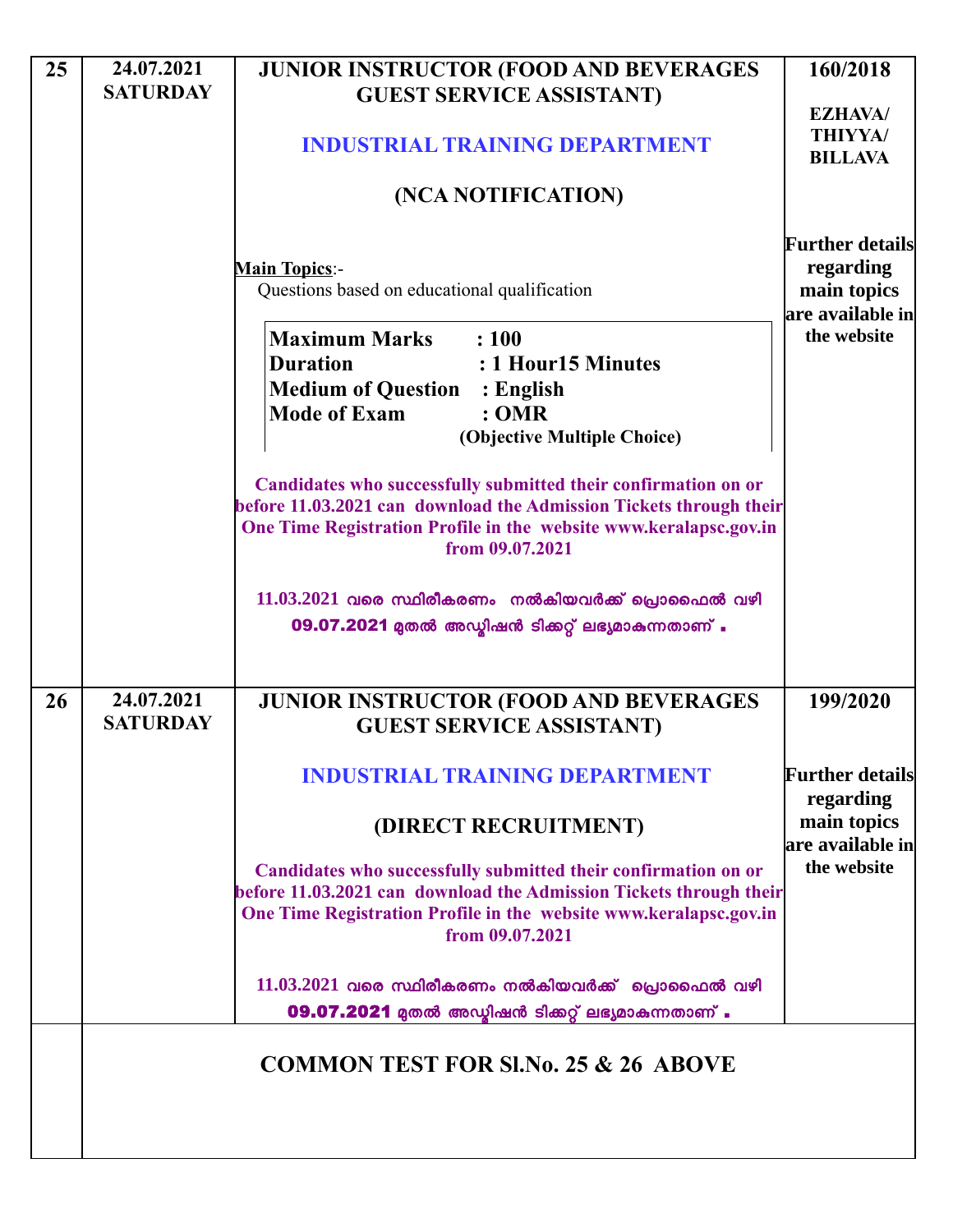| 25 | 24.07.2021                    | <b>JUNIOR INSTRUCTOR (FOOD AND BEVERAGES</b>                                                                                                                                                                                 | 160/2018                                           |
|----|-------------------------------|------------------------------------------------------------------------------------------------------------------------------------------------------------------------------------------------------------------------------|----------------------------------------------------|
|    | <b>SATURDAY</b>               | <b>GUEST SERVICE ASSISTANT)</b>                                                                                                                                                                                              |                                                    |
|    |                               |                                                                                                                                                                                                                              | <b>EZHAVA/</b><br><b>THIYYA</b>                    |
|    |                               | <b>INDUSTRIAL TRAINING DEPARTMENT</b>                                                                                                                                                                                        | <b>BILLAVA</b>                                     |
|    |                               | (NCA NOTIFICATION)                                                                                                                                                                                                           |                                                    |
|    |                               | <b>Main Topics:-</b><br>Questions based on educational qualification                                                                                                                                                         | <b>Further details</b><br>regarding<br>main topics |
|    |                               | <b>Maximum Marks</b><br>: 100<br><b>Duration</b><br>: 1 Hour15 Minutes                                                                                                                                                       | $ $ are available in $ $<br>the website            |
|    |                               | <b>Medium of Question : English</b><br><b>Mode of Exam</b><br>:OMR                                                                                                                                                           |                                                    |
|    |                               | (Objective Multiple Choice)                                                                                                                                                                                                  |                                                    |
|    |                               | Candidates who successfully submitted their confirmation on or<br>before 11.03.2021 can download the Admission Tickets through their<br>One Time Registration Profile in the website www.keralapsc.gov.in<br>from 09.07.2021 |                                                    |
|    |                               | $11.03.2021$ വരെ സ്ഥിരീകരണം നൽകിയവർക്ക് പ്രൊഫൈൽ വഴി                                                                                                                                                                          |                                                    |
|    |                               | 09.07.2021 മുതൽ അഡ്യിഷൻ ടിക്കറ്റ് ലഭ്യമാകുന്നതാണ് .                                                                                                                                                                          |                                                    |
|    |                               |                                                                                                                                                                                                                              |                                                    |
| 26 | 24.07.2021<br><b>SATURDAY</b> | JUNIOR INSTRUCTOR (FOOD AND BEVERAGES<br><b>GUEST SERVICE ASSISTANT)</b>                                                                                                                                                     | 199/2020                                           |
|    |                               | <b>INDUSTRIAL TRAINING DEPARTMENT</b>                                                                                                                                                                                        | <b>Further details</b><br>regarding                |
|    |                               | (DIRECT RECRUITMENT)                                                                                                                                                                                                         | main topics<br>are available in                    |
|    |                               | Candidates who successfully submitted their confirmation on or<br>before 11.03.2021 can download the Admission Tickets through their<br>One Time Registration Profile in the website www.keralapsc.gov.in<br>from 09.07.2021 | the website                                        |
|    |                               | $11.03.2021$ വരെ സ്ഥിരീകരണം നൽകിയവർക്ക് പ്രൊഫൈൽ വഴി                                                                                                                                                                          |                                                    |
|    |                               | 09.07.2021 മുതൽ അഡ്യിഷൻ ടിക്കറ്റ് ലഭ്യമാകുന്നതാണ് .                                                                                                                                                                          |                                                    |
|    |                               | <b>COMMON TEST FOR SLNo. 25 &amp; 26 ABOVE</b>                                                                                                                                                                               |                                                    |
|    |                               |                                                                                                                                                                                                                              |                                                    |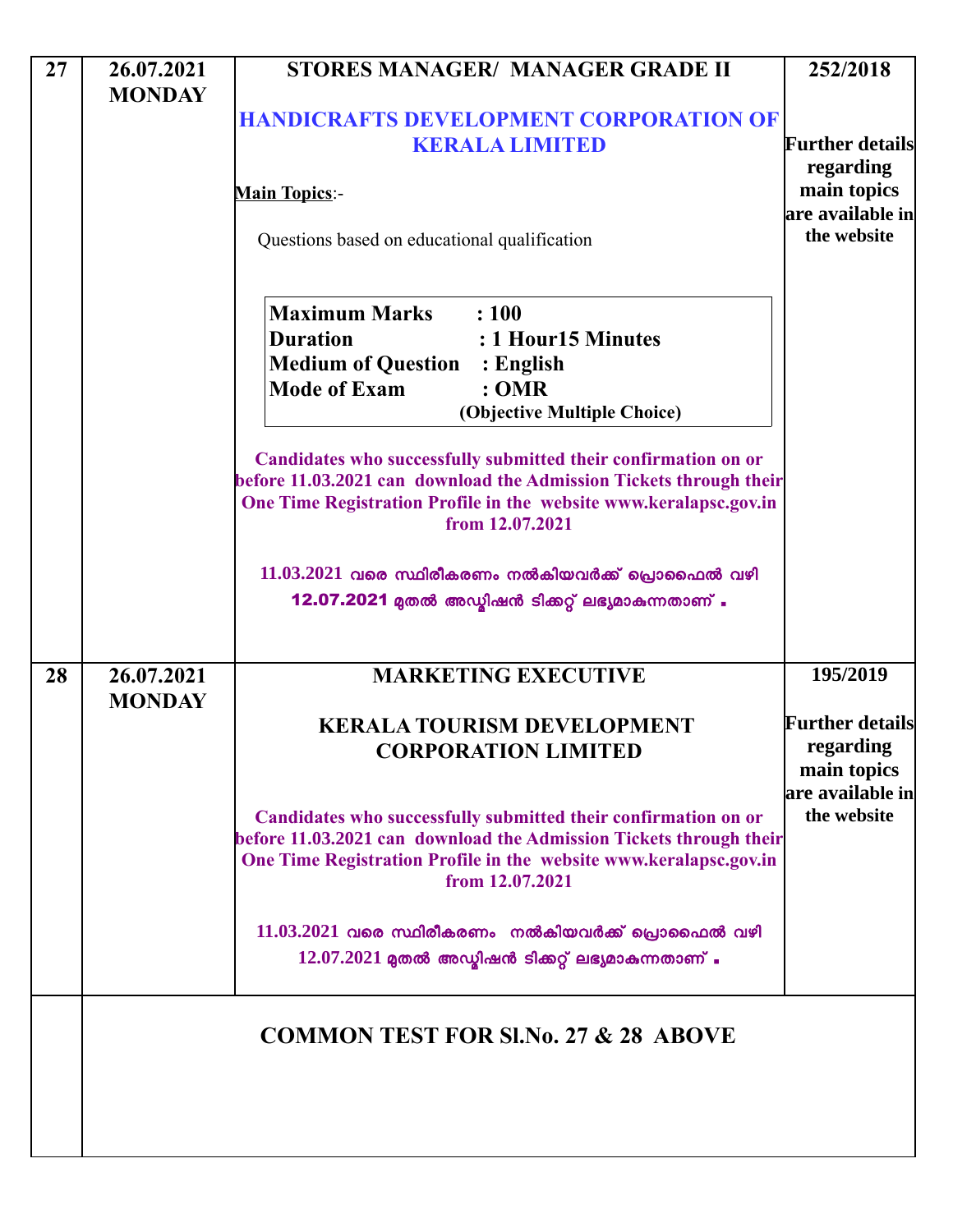| 27 | 26.07.2021<br><b>MONDAY</b> | STORES MANAGER/ MANAGER GRADE II                                                                                                                                                                                             | 252/2018                                      |
|----|-----------------------------|------------------------------------------------------------------------------------------------------------------------------------------------------------------------------------------------------------------------------|-----------------------------------------------|
|    |                             | <b>HANDICRAFTS DEVELOPMENT CORPORATION OF</b>                                                                                                                                                                                |                                               |
|    |                             | <b>KERALA LIMITED</b>                                                                                                                                                                                                        | Further details                               |
|    |                             |                                                                                                                                                                                                                              | regarding<br>main topics                      |
|    |                             | <b>Main Topics:-</b>                                                                                                                                                                                                         | $ $ are available in $ $                      |
|    |                             | Questions based on educational qualification                                                                                                                                                                                 | the website                                   |
|    |                             | <b>Maximum Marks</b><br>: 100<br><b>Duration</b><br>: 1 Hour15 Minutes<br><b>Medium of Question</b><br>$:$ English<br><b>Mode of Exam</b><br>:OMR                                                                            |                                               |
|    |                             | (Objective Multiple Choice)                                                                                                                                                                                                  |                                               |
|    |                             | Candidates who successfully submitted their confirmation on or<br>before 11.03.2021 can download the Admission Tickets through their<br>One Time Registration Profile in the website www.keralapsc.gov.in<br>from 12.07.2021 |                                               |
|    |                             | $11.03.2021$ വരെ സ്ഥിരീകരണം നൽകിയവർക്ക് പ്രൊഫൈൽ വഴി<br>12.07.2021 മുതൽ അഡ്മിഷൻ ടിക്കറ്റ് ലഭ്യമാകുന്നതാണ് .                                                                                                                   |                                               |
| 28 | 26.07.2021<br><b>MONDAY</b> | <b>MARKETING EXECUTIVE</b>                                                                                                                                                                                                   | 195/2019                                      |
|    |                             | <b>KERALA TOURISM DEVELOPMENT</b>                                                                                                                                                                                            | <b>Further details</b>                        |
|    |                             | <b>CORPORATION LIMITED</b>                                                                                                                                                                                                   | regarding<br>main topics<br> are available in |
|    |                             | Candidates who successfully submitted their confirmation on or<br>before 11.03.2021 can download the Admission Tickets through their<br>One Time Registration Profile in the website www.keralapsc.gov.in<br>from 12.07.2021 | the website                                   |
|    |                             | $11.03.2021$ വരെ സ്ഥിരീകരണം നൽകിയവർക്ക് പ്രൊഫൈൽ വഴി<br>$12.07.2021$ മുതൽ അഡ്മിഷൻ ടിക്കറ്റ് ലഭ്യമാകുന്നതാണ്.                                                                                                                  |                                               |
|    |                             | <b>COMMON TEST FOR SLNo. 27 &amp; 28 ABOVE</b>                                                                                                                                                                               |                                               |
|    |                             |                                                                                                                                                                                                                              |                                               |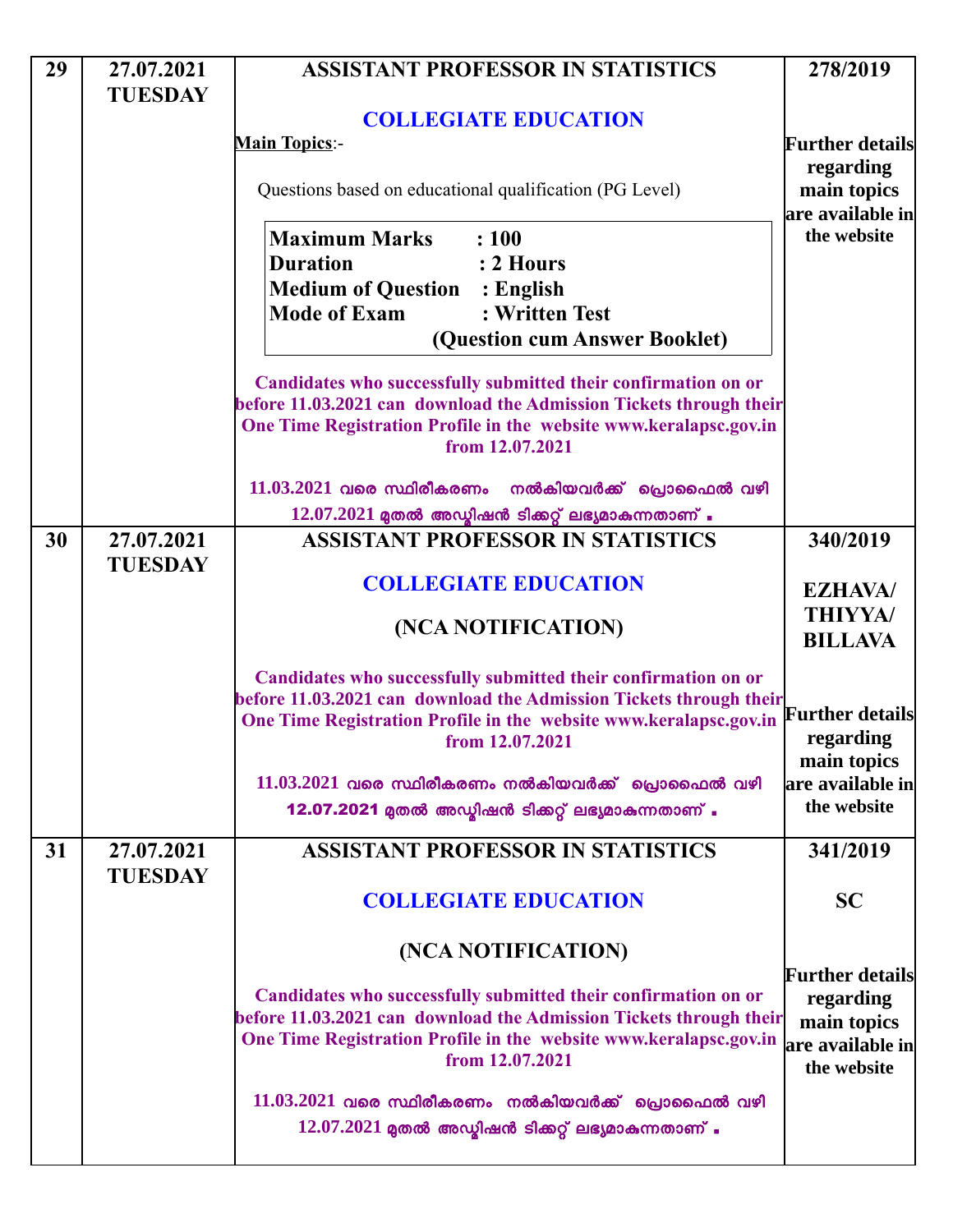| 29 | 27.07.2021                   | <b>ASSISTANT PROFESSOR IN STATISTICS</b>                                                                                                                                                                                     | 278/2019                                                                              |
|----|------------------------------|------------------------------------------------------------------------------------------------------------------------------------------------------------------------------------------------------------------------------|---------------------------------------------------------------------------------------|
|    | <b>TUESDAY</b>               | <b>COLLEGIATE EDUCATION</b>                                                                                                                                                                                                  |                                                                                       |
|    |                              | <b>Main Topics:-</b>                                                                                                                                                                                                         | <b>Further details</b>                                                                |
|    |                              |                                                                                                                                                                                                                              | regarding                                                                             |
|    |                              | Questions based on educational qualification (PG Level)                                                                                                                                                                      | main topics<br>are available in                                                       |
|    |                              | <b>Maximum Marks</b><br>: 100                                                                                                                                                                                                | the website                                                                           |
|    |                              | <b>Duration</b><br>: 2 Hours                                                                                                                                                                                                 |                                                                                       |
|    |                              | <b>Medium of Question : English</b>                                                                                                                                                                                          |                                                                                       |
|    |                              | <b>Mode of Exam</b><br>: Written Test                                                                                                                                                                                        |                                                                                       |
|    |                              | (Question cum Answer Booklet)                                                                                                                                                                                                |                                                                                       |
|    |                              | Candidates who successfully submitted their confirmation on or<br>before 11.03.2021 can download the Admission Tickets through their<br>One Time Registration Profile in the website www.keralapsc.gov.in<br>from 12.07.2021 |                                                                                       |
|    |                              | $11.03.2021$ വരെ സ്ഥിരീകരണം സൽകിയവർക്ക് പ്രൊഫൈൽ വഴി                                                                                                                                                                          |                                                                                       |
|    |                              | $12.07.2021$ മുതൽ അഡ്മിഷൻ ടിക്കറ്റ് ലഭ്യമാകുന്നതാണ്.                                                                                                                                                                         |                                                                                       |
| 30 | 27.07.2021                   | <b>ASSISTANT PROFESSOR IN STATISTICS</b>                                                                                                                                                                                     | 340/2019                                                                              |
|    | <b>TUESDAY</b>               | <b>COLLEGIATE EDUCATION</b>                                                                                                                                                                                                  | <b>EZHAVA/</b>                                                                        |
|    |                              |                                                                                                                                                                                                                              | <b>THIYYA/</b>                                                                        |
|    |                              | (NCA NOTIFICATION)                                                                                                                                                                                                           | <b>BILLAVA</b>                                                                        |
|    |                              | Candidates who successfully submitted their confirmation on or<br>before 11.03.2021 can download the Admission Tickets through their<br>One Time Registration Profile in the website www.keralapsc.gov.in<br>from 12.07.2021 | <b>Further details</b><br>regarding<br>main topics                                    |
|    |                              | $11.03.2021$ വരെ സ്ഥിരീകരണം നൽകിയവർക്ക് പ്രൊഫൈൽ വഴി                                                                                                                                                                          | are available in                                                                      |
|    |                              | 12.07.2021 മുതൽ അഡ്ബിഷൻ ടിക്കറ്റ് ലഭ്യമാകുന്നതാണ് .                                                                                                                                                                          | the website                                                                           |
| 31 | 27.07.2021<br><b>TUESDAY</b> | <b>ASSISTANT PROFESSOR IN STATISTICS</b>                                                                                                                                                                                     | 341/2019                                                                              |
|    |                              | <b>COLLEGIATE EDUCATION</b>                                                                                                                                                                                                  | <b>SC</b>                                                                             |
|    |                              | (NCA NOTIFICATION)                                                                                                                                                                                                           |                                                                                       |
|    |                              | Candidates who successfully submitted their confirmation on or<br>before 11.03.2021 can download the Admission Tickets through their<br>One Time Registration Profile in the website www.keralapsc.gov.in<br>from 12.07.2021 | <b>Further details</b><br>regarding<br>main topics<br>are available in<br>the website |
|    |                              | $11.03.2021$ വരെ സ്ഥിരീകരണം നൽകിയവർക്ക് പ്രൊഫൈൽ വഴി<br>$12.07.2021$ മുതൽ അഡ്മിഷൻ ടിക്കറ്റ് ലഭ്യമാകുന്നതാണ് .                                                                                                                 |                                                                                       |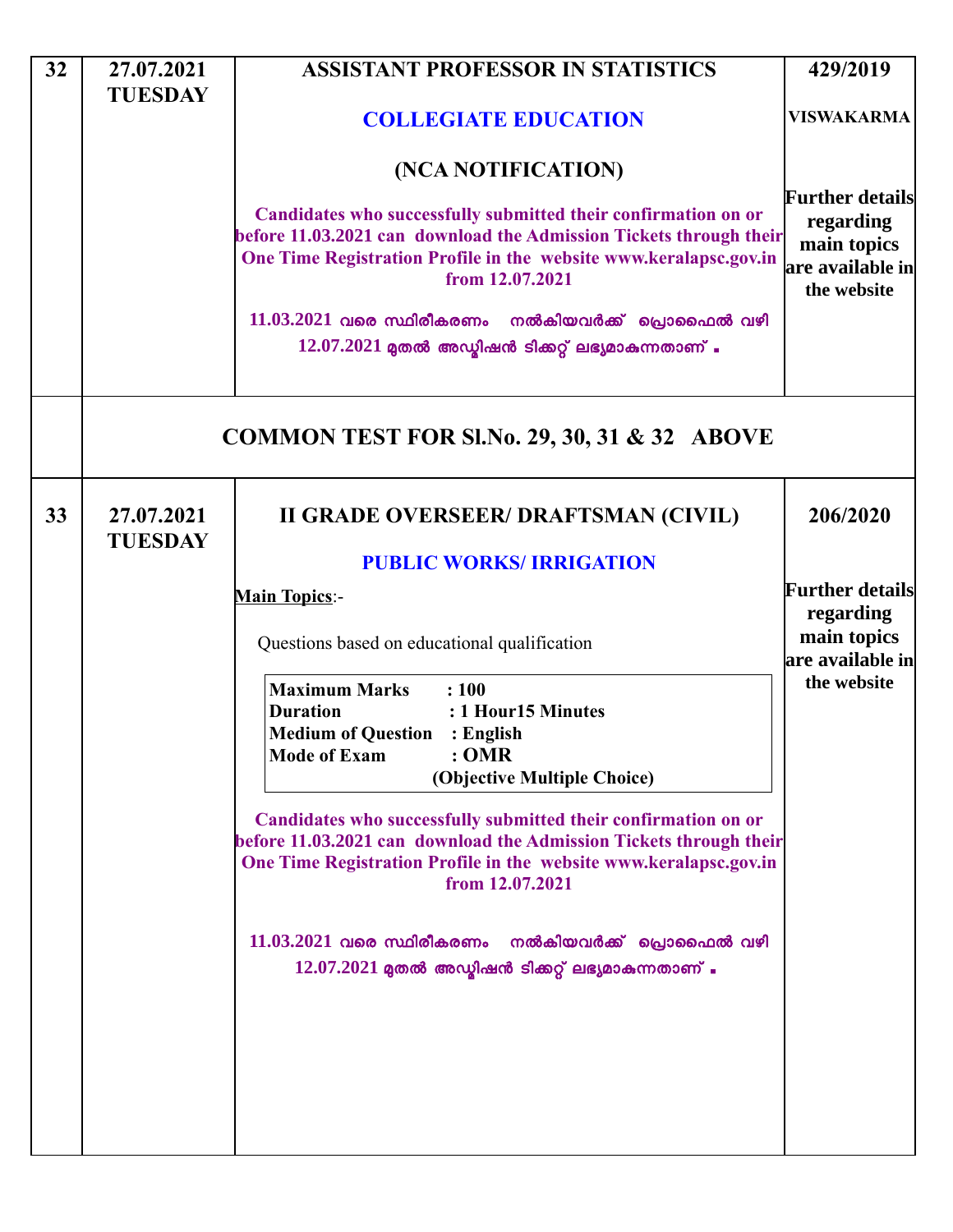| 32 | 27.07.2021                   | <b>ASSISTANT PROFESSOR IN STATISTICS</b>                                                                                                                                                                                     | 429/2019                                                                                      |
|----|------------------------------|------------------------------------------------------------------------------------------------------------------------------------------------------------------------------------------------------------------------------|-----------------------------------------------------------------------------------------------|
|    | <b>TUESDAY</b>               | <b>COLLEGIATE EDUCATION</b>                                                                                                                                                                                                  | <b>VISWAKARMA</b>                                                                             |
|    |                              | (NCA NOTIFICATION)                                                                                                                                                                                                           |                                                                                               |
|    |                              | Candidates who successfully submitted their confirmation on or<br>before 11.03.2021 can download the Admission Tickets through their<br>One Time Registration Profile in the website www.keralapsc.gov.in<br>from 12.07.2021 | <b>Further details</b><br>regarding<br>main topics<br>$ $ are available in $ $<br>the website |
|    |                              | $11.03.2021$ വരെ സ്ഥിരീകരണം നൽകിയവർക്ക് പ്രൊഫൈൽ വഴി                                                                                                                                                                          |                                                                                               |
|    |                              | $12.07.2021$ മുതൽ അഡ്മിഷൻ ടിക്കറ്റ് ലഭ്യമാകുന്നതാണ്                                                                                                                                                                          |                                                                                               |
|    |                              | <b>COMMON TEST FOR SI.No. 29, 30, 31 &amp; 32 ABOVE</b>                                                                                                                                                                      |                                                                                               |
| 33 | 27.07.2021<br><b>TUESDAY</b> | II GRADE OVERSEER/ DRAFTSMAN (CIVIL)                                                                                                                                                                                         | 206/2020                                                                                      |
|    |                              | <b>PUBLIC WORKS/IRRIGATION</b>                                                                                                                                                                                               |                                                                                               |
|    |                              | <b>Main Topics:-</b>                                                                                                                                                                                                         | <b>Further details</b><br>regarding                                                           |
|    |                              | Questions based on educational qualification                                                                                                                                                                                 | main topics<br>are available in                                                               |
|    |                              | <b>Maximum Marks</b><br>: 100<br><b>Duration</b><br>: 1 Hour15 Minutes<br><b>Medium of Question : English</b><br><b>Mode of Exam</b><br>:OMR<br>(Objective Multiple Choice)                                                  | the website                                                                                   |
|    |                              | Candidates who successfully submitted their confirmation on or<br>before 11.03.2021 can download the Admission Tickets through their<br>One Time Registration Profile in the website www.keralapsc.gov.in<br>from 12.07.2021 |                                                                                               |
|    |                              | $11.03.2021$ വരെ സ്ഥിരീകരണം നൽകിയവർക്ക് പ്രൊഫൈൽ വഴി<br>$12.07.2021$ മുതൽ അഡ്മിഷൻ ടിക്കറ്റ് ലഭ്യമാകുന്നതാണ് .                                                                                                                 |                                                                                               |
|    |                              |                                                                                                                                                                                                                              |                                                                                               |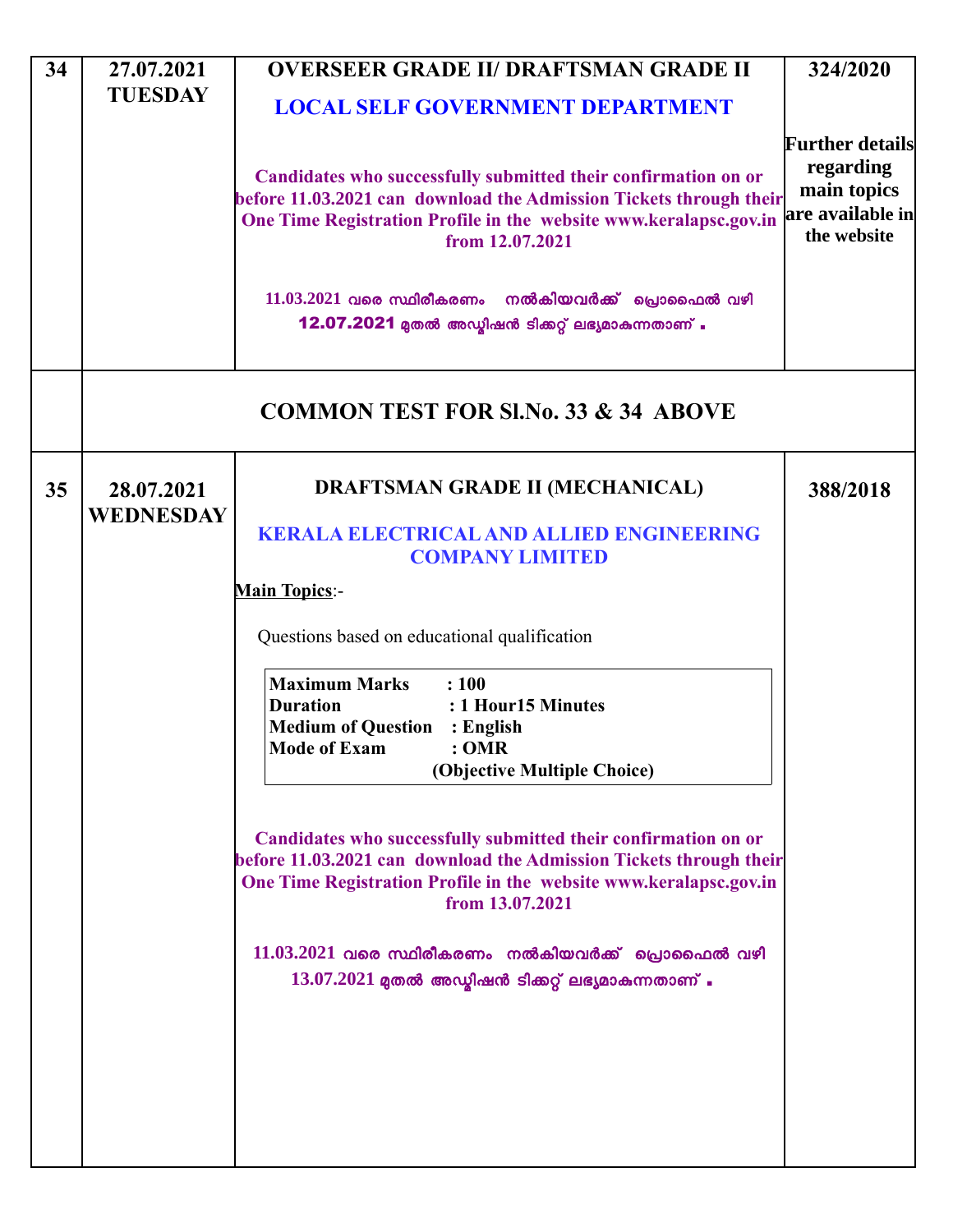| 34 | 27.07.2021                     | <b>OVERSEER GRADE II/ DRAFTSMAN GRADE II</b>                                                                                                                                                                                                                                                                                                                                                                                                                                                                                                                                                                                                                                                                                    | 324/2020                                                                              |
|----|--------------------------------|---------------------------------------------------------------------------------------------------------------------------------------------------------------------------------------------------------------------------------------------------------------------------------------------------------------------------------------------------------------------------------------------------------------------------------------------------------------------------------------------------------------------------------------------------------------------------------------------------------------------------------------------------------------------------------------------------------------------------------|---------------------------------------------------------------------------------------|
|    | <b>TUESDAY</b>                 | <b>LOCAL SELF GOVERNMENT DEPARTMENT</b>                                                                                                                                                                                                                                                                                                                                                                                                                                                                                                                                                                                                                                                                                         |                                                                                       |
|    |                                | Candidates who successfully submitted their confirmation on or<br>before 11.03.2021 can download the Admission Tickets through their<br>One Time Registration Profile in the website www.keralapsc.gov.in<br>from 12.07.2021                                                                                                                                                                                                                                                                                                                                                                                                                                                                                                    | <b>Further details</b><br>regarding<br>main topics<br>are available in<br>the website |
|    |                                | നൽകിയവർക്ക് പ്രൊഫൈൽ വഴി<br>$11.03.2021$ വരെ സ്ഥിരീകരണം<br>12.07.2021 മുതൽ അഡ്ബിഷൻ ടിക്കറ്റ് ലഭ്യമാകുന്നതാണ് .                                                                                                                                                                                                                                                                                                                                                                                                                                                                                                                                                                                                                   |                                                                                       |
|    |                                | <b>COMMON TEST FOR SLNo. 33 &amp; 34 ABOVE</b>                                                                                                                                                                                                                                                                                                                                                                                                                                                                                                                                                                                                                                                                                  |                                                                                       |
| 35 | 28.07.2021<br><b>WEDNESDAY</b> | DRAFTSMAN GRADE II (MECHANICAL)<br><b>KERALA ELECTRICAL AND ALLIED ENGINEERING</b><br><b>COMPANY LIMITED</b><br><b>Main Topics:-</b><br>Questions based on educational qualification<br><b>Maximum Marks</b><br>: 100<br><b>Duration</b><br>: 1 Hour15 Minutes<br><b>Medium of Question</b><br>$:$ English<br><b>Mode of Exam</b><br>: <b>OMR</b><br>(Objective Multiple Choice)<br>Candidates who successfully submitted their confirmation on or<br>before 11.03.2021 can download the Admission Tickets through their<br>One Time Registration Profile in the website www.keralapsc.gov.in<br>from 13.07.2021<br>$11.03.2021$ വരെ സ്ഥിരീകരണം നൽകിയവർക്ക് പ്രൊഫൈൽ വഴി<br>$13.07.2021$ മുതൽ അഡ്മിഷൻ ടിക്കറ്റ് ലഭ്യമാകുന്നതാണ്. | 388/2018                                                                              |
|    |                                |                                                                                                                                                                                                                                                                                                                                                                                                                                                                                                                                                                                                                                                                                                                                 |                                                                                       |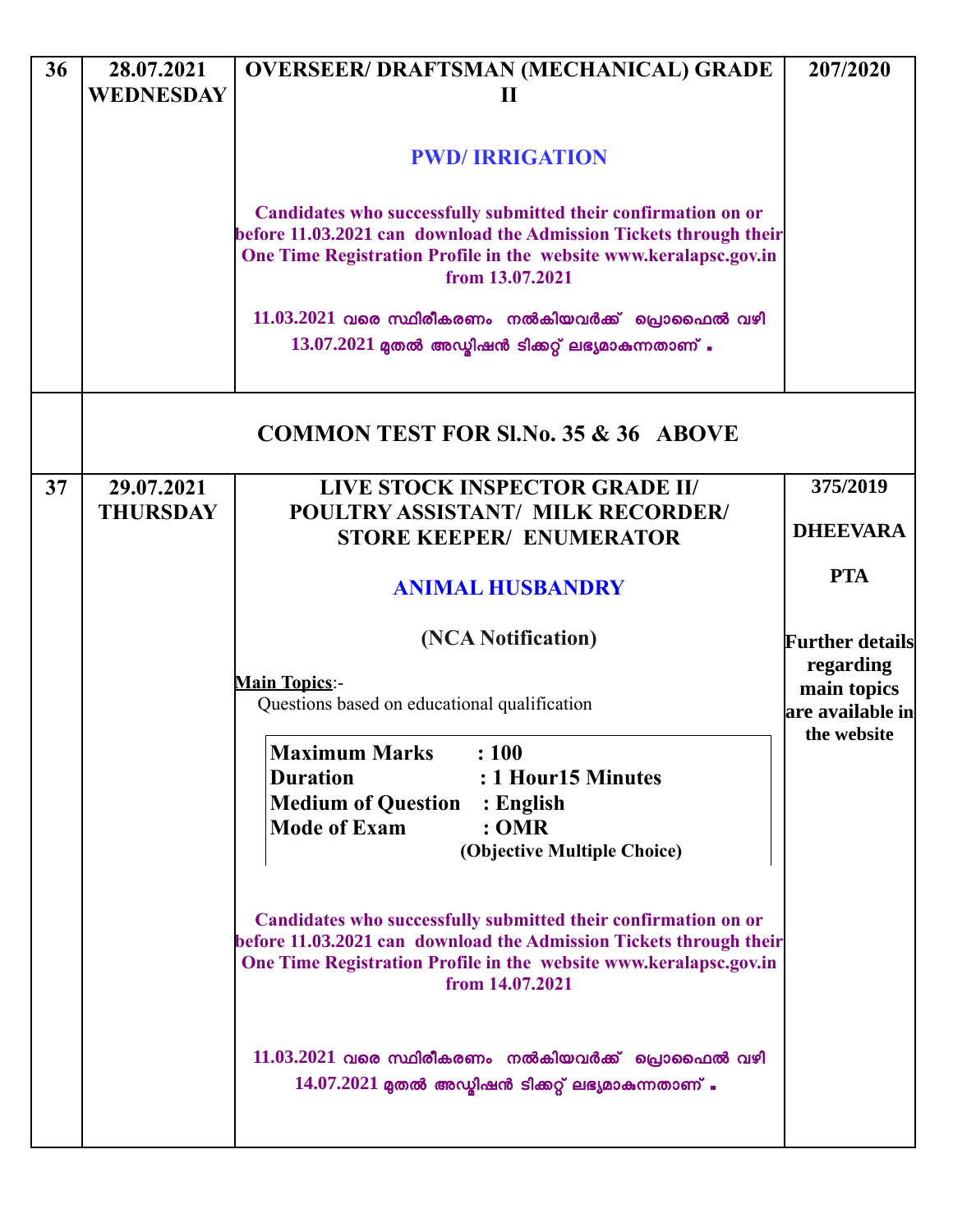| 36 | 28.07.2021       | <b>OVERSEER/ DRAFTSMAN (MECHANICAL) GRADE</b>                                        | 207/2020                     |
|----|------------------|--------------------------------------------------------------------------------------|------------------------------|
|    | <b>WEDNESDAY</b> | $\mathbf{I}$                                                                         |                              |
|    |                  |                                                                                      |                              |
|    |                  | <b>PWD/IRRIGATION</b>                                                                |                              |
|    |                  |                                                                                      |                              |
|    |                  | Candidates who successfully submitted their confirmation on or                       |                              |
|    |                  | before 11.03.2021 can download the Admission Tickets through their                   |                              |
|    |                  | One Time Registration Profile in the website www.keralapsc.gov.in<br>from 13.07.2021 |                              |
|    |                  | $11.03.2021$ വരെ സ്ഥിരീകരണം നൽകിയവർക്ക് പ്രൊഫൈൽ വഴി                                  |                              |
|    |                  | $13.07.2021$ മുതൽ അഡ്മിഷൻ ടിക്കറ്റ് ലഭ്യമാകുന്നതാണ് .                                |                              |
|    |                  | <b>COMMON TEST FOR SI.No. 35 &amp; 36 ABOVE</b>                                      |                              |
| 37 | 29.07.2021       | <b>LIVE STOCK INSPECTOR GRADE II/</b>                                                | 375/2019                     |
|    | <b>THURSDAY</b>  | POULTRY ASSISTANT/ MILK RECORDER/                                                    |                              |
|    |                  | <b>STORE KEEPER/ ENUMERATOR</b>                                                      | <b>DHEEVARA</b>              |
|    |                  |                                                                                      |                              |
|    |                  | <b>ANIMAL HUSBANDRY</b>                                                              | <b>PTA</b>                   |
|    |                  | (NCA Notification)                                                                   | Further details<br>regarding |
|    |                  | <b>Main Topics:-</b>                                                                 | main topics                  |
|    |                  | Questions based on educational qualification                                         | are available in             |
|    |                  | <b>Maximum Marks</b> : 100                                                           | the website                  |
|    |                  | <b>Duration</b><br>: 1 Hour15 Minutes                                                |                              |
|    |                  | <b>Medium of Question</b><br>$:$ English                                             |                              |
|    |                  | <b>Mode of Exam</b><br>:OMR                                                          |                              |
|    |                  | (Objective Multiple Choice)                                                          |                              |
|    |                  |                                                                                      |                              |
|    |                  | Candidates who successfully submitted their confirmation on or                       |                              |
|    |                  | before 11.03.2021 can download the Admission Tickets through their                   |                              |
|    |                  | One Time Registration Profile in the website www.keralapsc.gov.in<br>from 14.07.2021 |                              |
|    |                  |                                                                                      |                              |
|    |                  |                                                                                      |                              |
|    |                  | $11.03.2021$ വരെ സ്ഥിരീകരണം നൽകിയവർക്ക് പ്രൊഫൈൽ വഴി                                  |                              |
|    |                  | $14.07.2021$ മുതൽ അഡ്യിഷൻ ടിക്കറ്റ് ലഭ്യമാകുന്നതാണ് .                                |                              |
|    |                  |                                                                                      |                              |
|    |                  |                                                                                      |                              |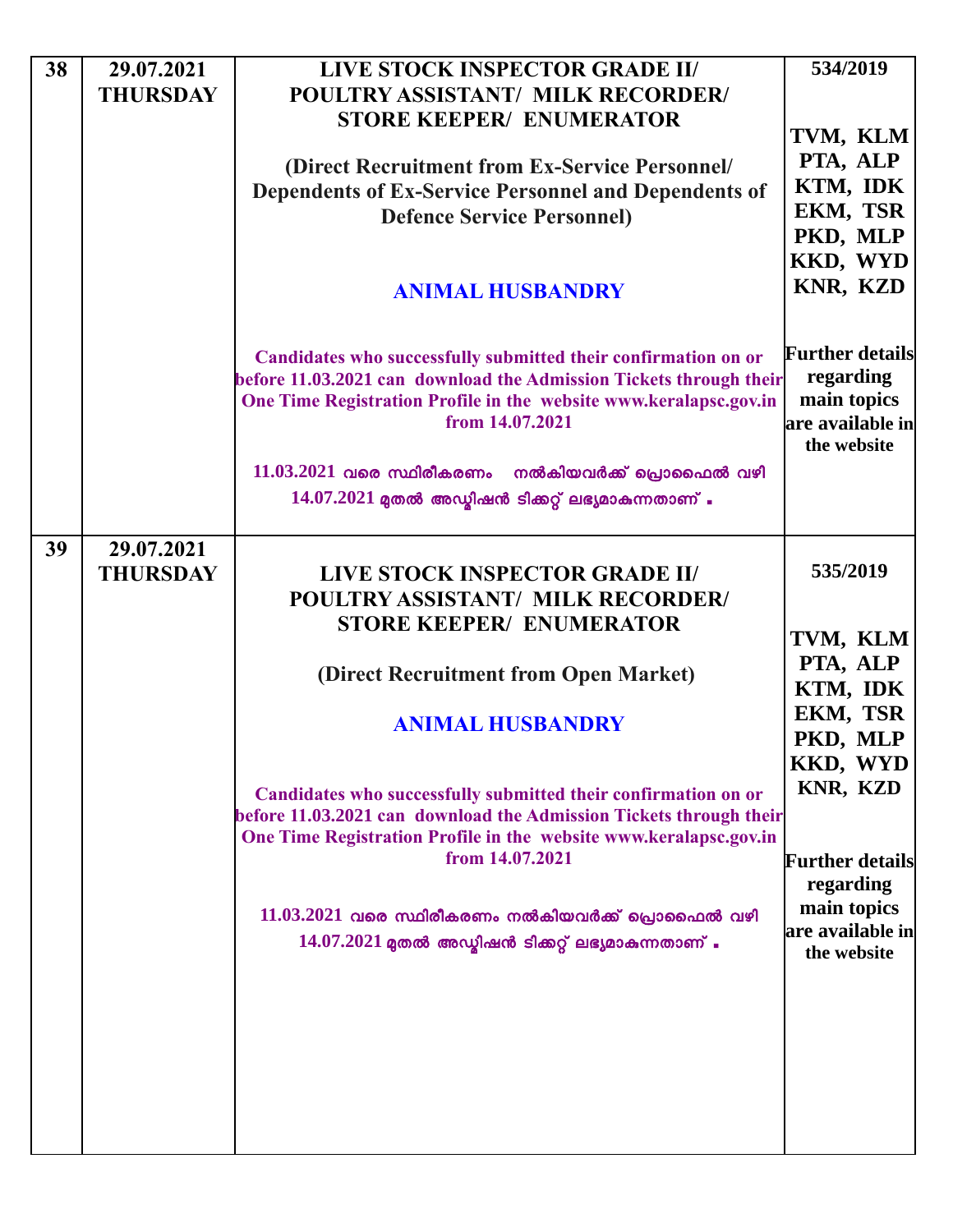| 38 | 29.07.2021      | LIVE STOCK INSPECTOR GRADE II/                                                                                                                                                                                               | 534/2019                                                                              |
|----|-----------------|------------------------------------------------------------------------------------------------------------------------------------------------------------------------------------------------------------------------------|---------------------------------------------------------------------------------------|
|    | <b>THURSDAY</b> | POULTRY ASSISTANT/ MILK RECORDER/                                                                                                                                                                                            |                                                                                       |
|    |                 | <b>STORE KEEPER/ ENUMERATOR</b>                                                                                                                                                                                              |                                                                                       |
|    |                 |                                                                                                                                                                                                                              | TVM, KLM<br>PTA, ALP                                                                  |
|    |                 | (Direct Recruitment from Ex-Service Personnel/                                                                                                                                                                               | KTM, IDK                                                                              |
|    |                 | <b>Dependents of Ex-Service Personnel and Dependents of</b>                                                                                                                                                                  | EKM, TSR                                                                              |
|    |                 | <b>Defence Service Personnel)</b>                                                                                                                                                                                            | PKD, MLP                                                                              |
|    |                 |                                                                                                                                                                                                                              | <b>KKD, WYD</b>                                                                       |
|    |                 | <b>ANIMAL HUSBANDRY</b>                                                                                                                                                                                                      | KNR, KZD                                                                              |
|    |                 |                                                                                                                                                                                                                              |                                                                                       |
|    |                 | Candidates who successfully submitted their confirmation on or<br>before 11.03.2021 can download the Admission Tickets through their<br>One Time Registration Profile in the website www.keralapsc.gov.in<br>from 14.07.2021 | <b>Further details</b><br>regarding<br>main topics<br>are available in<br>the website |
|    |                 | $11.03.2021$ വരെ സ്ഥിരീകരണം നൽകിയവർക്ക് പ്രൊഫൈൽ വഴി                                                                                                                                                                          |                                                                                       |
|    |                 | $14.07.2021$ മുതൽ അഡ്ബിഷൻ ടിക്കറ്റ് ലഭ്യമാകുന്നതാണ്.                                                                                                                                                                         |                                                                                       |
|    |                 |                                                                                                                                                                                                                              |                                                                                       |
| 39 | 29.07.2021      |                                                                                                                                                                                                                              |                                                                                       |
|    | <b>THURSDAY</b> | LIVE STOCK INSPECTOR GRADE II/                                                                                                                                                                                               | 535/2019                                                                              |
|    |                 | POULTRY ASSISTANT/ MILK RECORDER/                                                                                                                                                                                            |                                                                                       |
|    |                 | <b>STORE KEEPER/ ENUMERATOR</b>                                                                                                                                                                                              | TVM, KLM                                                                              |
|    |                 | (Direct Recruitment from Open Market)                                                                                                                                                                                        | PTA, ALP<br>KTM, IDK                                                                  |
|    |                 | <b>ANIMAL HUSBANDRY</b>                                                                                                                                                                                                      | EKM, TSR<br>PKD, MLP                                                                  |
|    |                 | Candidates who successfully submitted their confirmation on or<br>before 11.03.2021 can download the Admission Tickets through their<br>One Time Registration Profile in the website www.keralapsc.gov.in<br>from 14.07.2021 | KKD, WYD<br>KNR, KZD<br><b>Further details</b><br>regarding                           |
|    |                 | $11.03.2021$ വരെ സ്ഥിരീകരണം നൽകിയവർക്ക് പ്രൊഫൈൽ വഴി                                                                                                                                                                          | main topics                                                                           |
|    |                 | $14.07.2021$ മുതൽ അഡ്മിഷൻ ടിക്കറ്റ് ലഭ്യമാകുന്നതാണ് .                                                                                                                                                                        | are available in                                                                      |
|    |                 |                                                                                                                                                                                                                              | the website                                                                           |
|    |                 |                                                                                                                                                                                                                              |                                                                                       |
|    |                 |                                                                                                                                                                                                                              |                                                                                       |
|    |                 |                                                                                                                                                                                                                              |                                                                                       |
|    |                 |                                                                                                                                                                                                                              |                                                                                       |
|    |                 |                                                                                                                                                                                                                              |                                                                                       |
|    |                 |                                                                                                                                                                                                                              |                                                                                       |
|    |                 |                                                                                                                                                                                                                              |                                                                                       |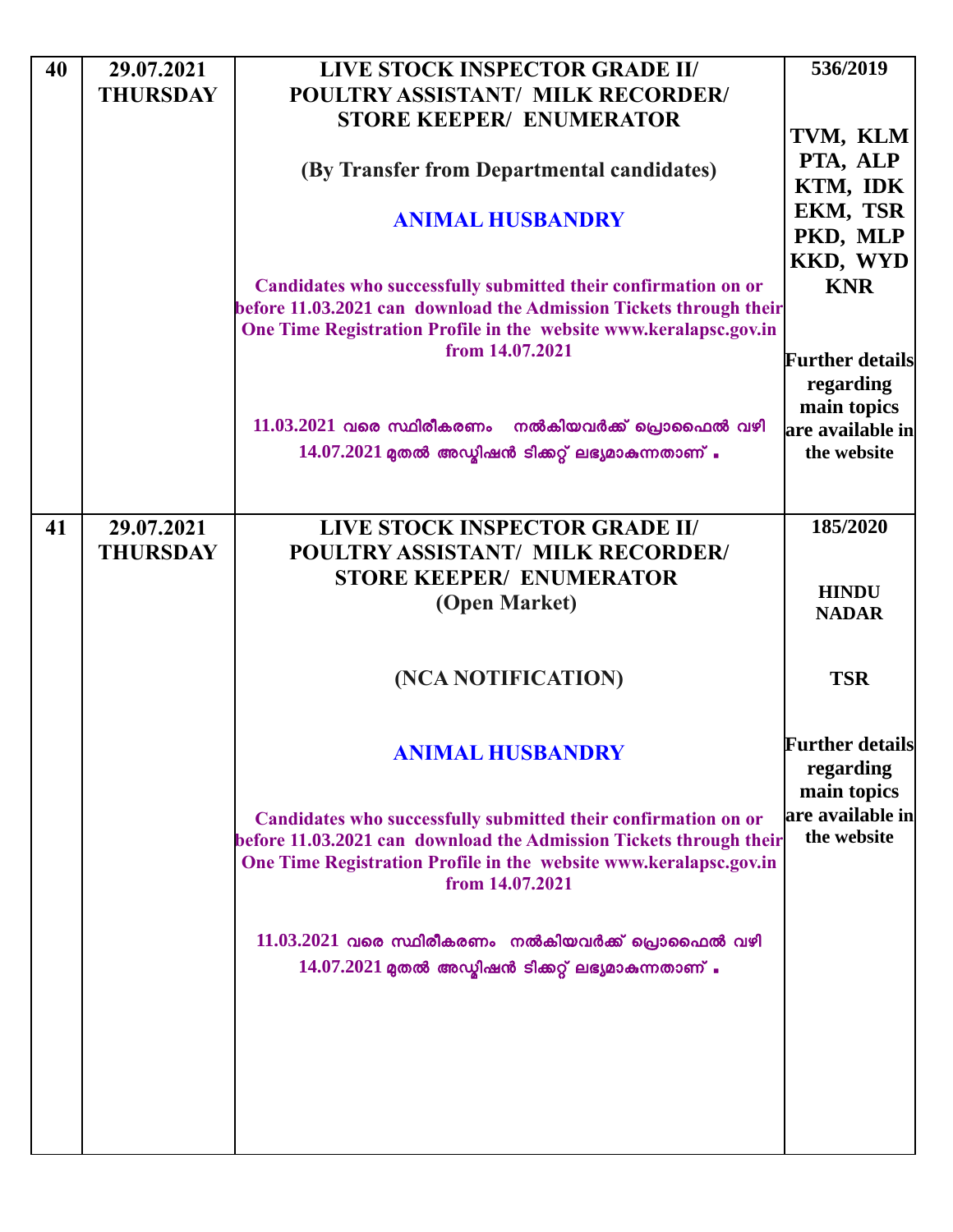| 40 | 29.07.2021      | LIVE STOCK INSPECTOR GRADE II/                                                       | 536/2019                            |
|----|-----------------|--------------------------------------------------------------------------------------|-------------------------------------|
|    | <b>THURSDAY</b> | <b>POULTRY ASSISTANT/ MILK RECORDER/</b>                                             |                                     |
|    |                 | <b>STORE KEEPER/ ENUMERATOR</b>                                                      |                                     |
|    |                 |                                                                                      | TVM, KLM                            |
|    |                 | (By Transfer from Departmental candidates)                                           | PTA, ALP<br>KTM, IDK                |
|    |                 |                                                                                      | EKM, TSR                            |
|    |                 | <b>ANIMAL HUSBANDRY</b>                                                              | PKD, MLP                            |
|    |                 |                                                                                      | <b>KKD, WYD</b>                     |
|    |                 | Candidates who successfully submitted their confirmation on or                       | <b>KNR</b>                          |
|    |                 | before 11.03.2021 can download the Admission Tickets through their                   |                                     |
|    |                 | One Time Registration Profile in the website www.keralapsc.gov.in                    |                                     |
|    |                 | from 14.07.2021                                                                      | <b>Further details</b>              |
|    |                 |                                                                                      | regarding                           |
|    |                 |                                                                                      | main topics                         |
|    |                 | $11.03.2021$ വരെ സ്ഥിരീകരണം<br>നൽകിയവർക്ക് പ്രൊഫൈൽ വഴി                               | are available in                    |
|    |                 | $14.07.2021$ മുതൽ അഡ്ബിഷൻ ടിക്കറ്റ് ലഭ്യമാകുന്നതാണ്.                                 | the website                         |
|    |                 |                                                                                      |                                     |
| 41 | 29.07.2021      | LIVE STOCK INSPECTOR GRADE II/                                                       | 185/2020                            |
|    | <b>THURSDAY</b> | <b>POULTRY ASSISTANT/ MILK RECORDER/</b>                                             |                                     |
|    |                 | <b>STORE KEEPER/ ENUMERATOR</b>                                                      |                                     |
|    |                 | (Open Market)                                                                        | <b>HINDU</b><br><b>NADAR</b>        |
|    |                 |                                                                                      |                                     |
|    |                 | (NCA NOTIFICATION)                                                                   | <b>TSR</b>                          |
|    |                 | <b>ANIMAL HUSBANDRY</b>                                                              | <b>Further details</b><br>regarding |
|    |                 |                                                                                      | main topics                         |
|    |                 | Candidates who successfully submitted their confirmation on or                       | are available in                    |
|    |                 | before 11.03.2021 can download the Admission Tickets through their                   | the website                         |
|    |                 | One Time Registration Profile in the website www.keralapsc.gov.in<br>from 14.07.2021 |                                     |
|    |                 | $11.03.2021$ വരെ സ്ഥിരീകരണം നൽകിയവർക്ക് പ്രൊഫൈൽ വഴി                                  |                                     |
|    |                 |                                                                                      |                                     |
|    |                 | $14.07.2021$ മുതൽ അഡ്മിഷൻ ടിക്കറ്റ് ലഭ്യമാകുന്നതാണ് .                                |                                     |
|    |                 |                                                                                      |                                     |
|    |                 |                                                                                      |                                     |
|    |                 |                                                                                      |                                     |
|    |                 |                                                                                      |                                     |
|    |                 |                                                                                      |                                     |
|    |                 |                                                                                      |                                     |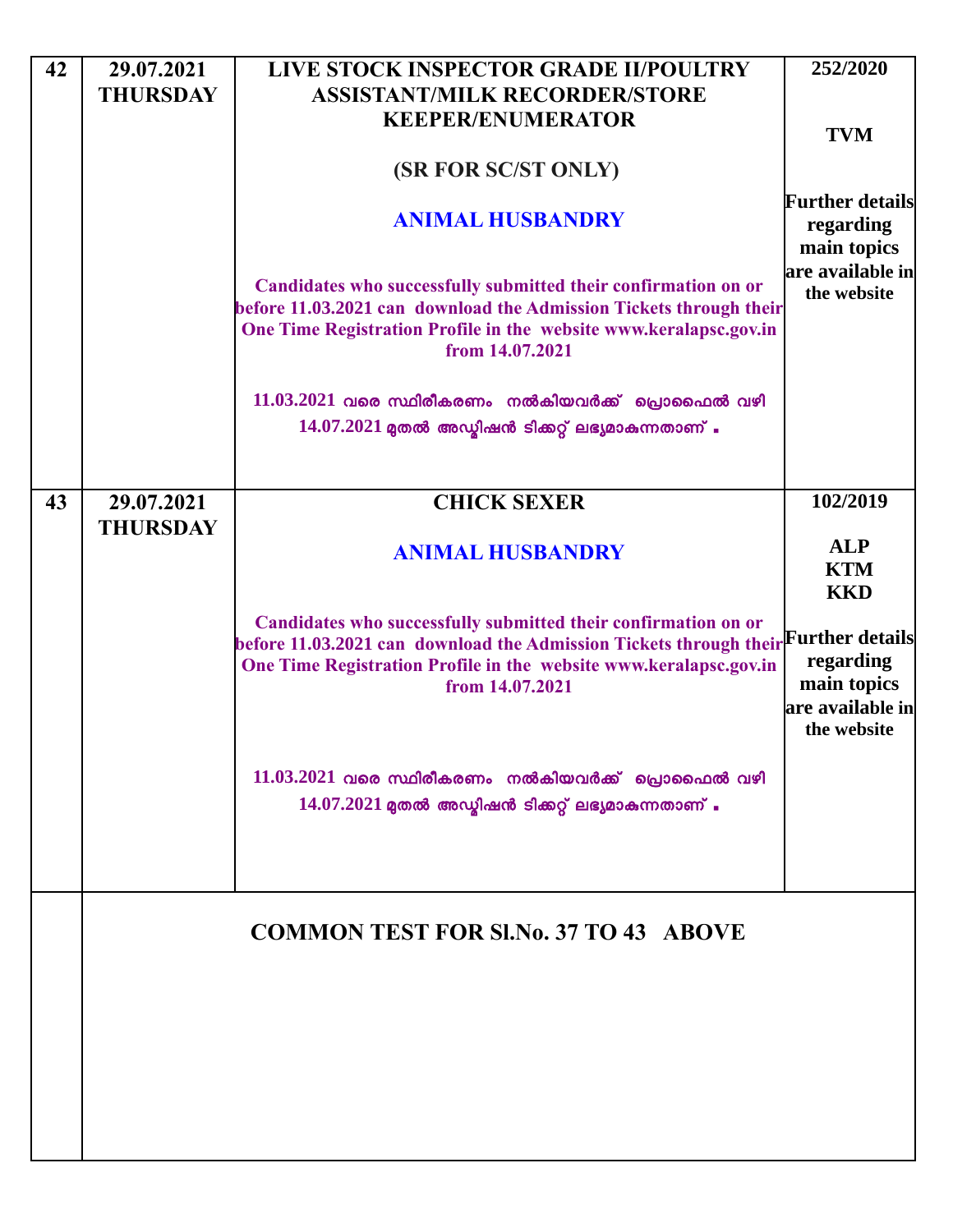| 29.07.2021      | LIVE STOCK INSPECTOR GRADE II/POULTRY                                                                                                                  | 252/2020                                                                                                                                                                                                                                |
|-----------------|--------------------------------------------------------------------------------------------------------------------------------------------------------|-----------------------------------------------------------------------------------------------------------------------------------------------------------------------------------------------------------------------------------------|
| <b>THURSDAY</b> | <b>ASSISTANT/MILK RECORDER/STORE</b>                                                                                                                   |                                                                                                                                                                                                                                         |
|                 | <b>KEEPER/ENUMERATOR</b>                                                                                                                               |                                                                                                                                                                                                                                         |
|                 |                                                                                                                                                        | <b>TVM</b>                                                                                                                                                                                                                              |
|                 |                                                                                                                                                        |                                                                                                                                                                                                                                         |
|                 | <b>ANIMAL HUSBANDRY</b>                                                                                                                                | <b>Further details</b><br>regarding<br>main topics                                                                                                                                                                                      |
|                 | Candidates who successfully submitted their confirmation on or<br>One Time Registration Profile in the website www.keralapsc.gov.in<br>from 14.07.2021 | $ $ are available in $ $<br>the website                                                                                                                                                                                                 |
|                 | $11.03.2021$ വരെ സ്ഥിരീകരണം നൽകിയവർക്ക് പ്രൊഫൈൽ വഴി<br>$14.07.2021$ മുതൽ അഡ്മിഷൻ ടിക്കറ്റ് ലഭ്യമാകുന്നതാണ് .                                           |                                                                                                                                                                                                                                         |
|                 |                                                                                                                                                        | 102/2019                                                                                                                                                                                                                                |
|                 |                                                                                                                                                        |                                                                                                                                                                                                                                         |
|                 |                                                                                                                                                        | <b>ALP</b>                                                                                                                                                                                                                              |
|                 |                                                                                                                                                        | <b>KTM</b>                                                                                                                                                                                                                              |
|                 |                                                                                                                                                        | <b>KKD</b>                                                                                                                                                                                                                              |
|                 | Candidates who successfully submitted their confirmation on or<br>One Time Registration Profile in the website www.keralapsc.gov.in<br>from 14.07.2021 | regarding<br>main topics<br>$\left\vert \right\vert$ are available in $\left\vert \right\rangle$<br>the website                                                                                                                         |
|                 | $11.03.2021$ വരെ സ്ഥിരീകരണം നൽകിയവർക്ക് പ്രൊഫൈൽ വഴി<br>$14.07.2021$ മുതൽ അഡ്മിഷൻ ടിക്കറ്റ് ലഭ്യമാകുന്നതാണ് .                                           |                                                                                                                                                                                                                                         |
|                 | <b>COMMON TEST FOR SI.No. 37 TO 43 ABOVE</b>                                                                                                           |                                                                                                                                                                                                                                         |
|                 | 29.07.2021<br><b>THURSDAY</b>                                                                                                                          | <b>(SR FOR SC/ST ONLY)</b><br>before 11.03.2021 can download the Admission Tickets through their<br><b>CHICK SEXER</b><br><b>ANIMAL HUSBANDRY</b><br>before 11.03.2021 can download the Admission Tickets through their Further details |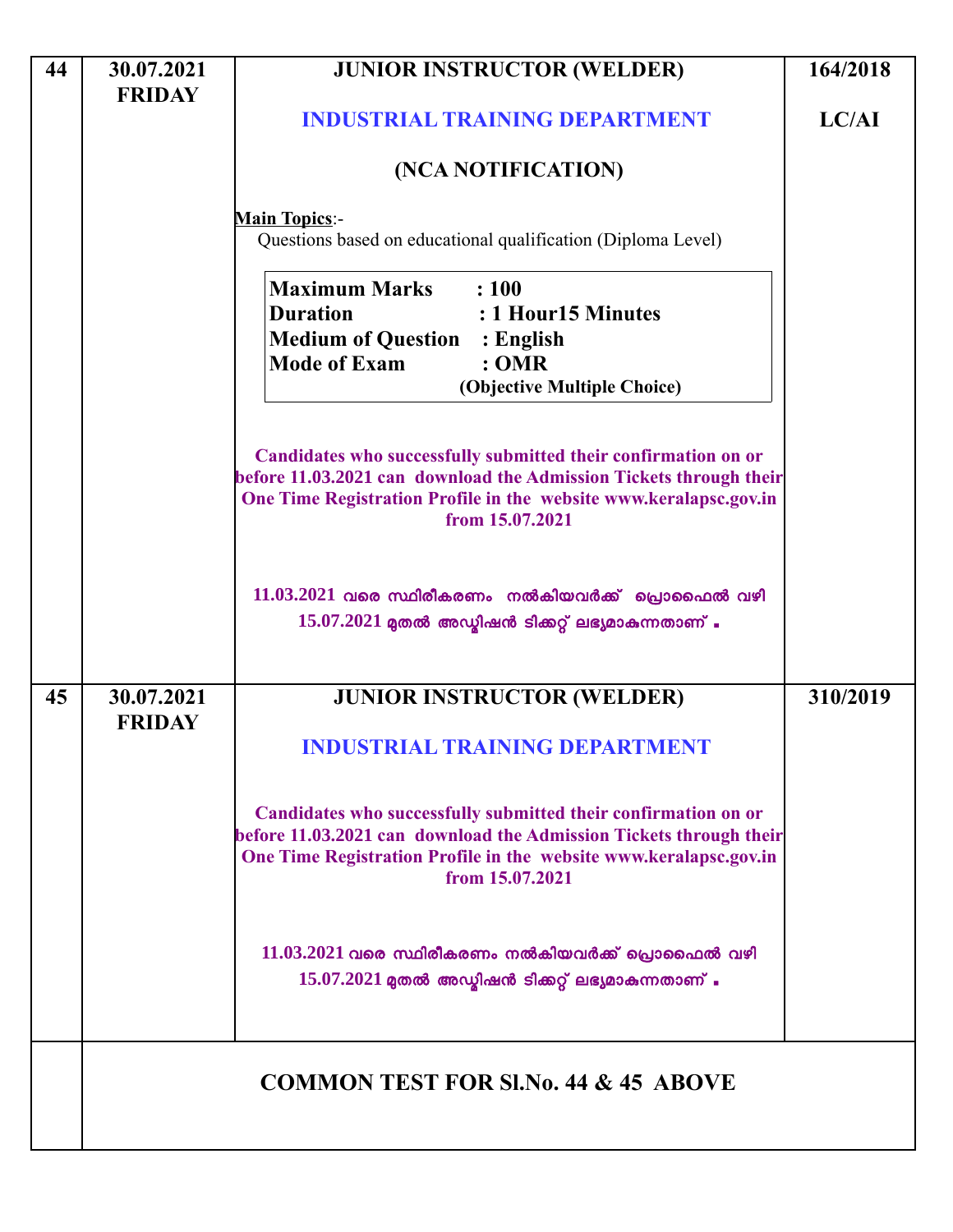| 44 | 30.07.2021<br><b>FRIDAY</b> | <b>JUNIOR INSTRUCTOR (WELDER)</b>                                                                                                                                                                                            | 164/2018 |
|----|-----------------------------|------------------------------------------------------------------------------------------------------------------------------------------------------------------------------------------------------------------------------|----------|
|    |                             | <b>INDUSTRIAL TRAINING DEPARTMENT</b>                                                                                                                                                                                        | LC/AI    |
|    |                             | (NCA NOTIFICATION)                                                                                                                                                                                                           |          |
|    |                             | <b>Main Topics:-</b><br>Questions based on educational qualification (Diploma Level)                                                                                                                                         |          |
|    |                             | <b>Maximum Marks</b><br>: 100<br><b>Duration</b><br>: 1 Hour15 Minutes<br><b>Medium of Question : English</b><br><b>Mode of Exam</b><br>:OMR<br>(Objective Multiple Choice)                                                  |          |
|    |                             | Candidates who successfully submitted their confirmation on or<br>before 11.03.2021 can download the Admission Tickets through their<br>One Time Registration Profile in the website www.keralapsc.gov.in<br>from 15.07.2021 |          |
|    |                             | $11.03.2021$ വരെ സ്ഥിരീകരണം നൽകിയവർക്ക് പ്രൊഫൈൽ വഴി<br>$15.07.2021$ മുതൽ അഡ്മിഷൻ ടിക്കറ്റ് ലഭ്യമാകുന്നതാണ് .                                                                                                                 |          |
| 45 | 30.07.2021<br><b>FRIDAY</b> | <b>JUNIOR INSTRUCTOR (WELDER)</b><br><b>INDUSTRIAL TRAINING DEPARTMENT</b>                                                                                                                                                   | 310/2019 |
|    |                             | Candidates who successfully submitted their confirmation on or<br>before 11.03.2021 can download the Admission Tickets through their<br>One Time Registration Profile in the website www.keralapsc.gov.in<br>from 15.07.2021 |          |
|    |                             | $11.03.2021$ വരെ സ്ഥിരീകരണം നൽകിയവർക്ക് പ്രൊഫൈൽ വഴി<br>$15.07.2021$ മുതൽ അഡ്മിഷൻ ടിക്കറ്റ് ലഭ്യമാകുന്നതാണ്.                                                                                                                  |          |
|    |                             | <b>COMMON TEST FOR SLNo. 44 &amp; 45 ABOVE</b>                                                                                                                                                                               |          |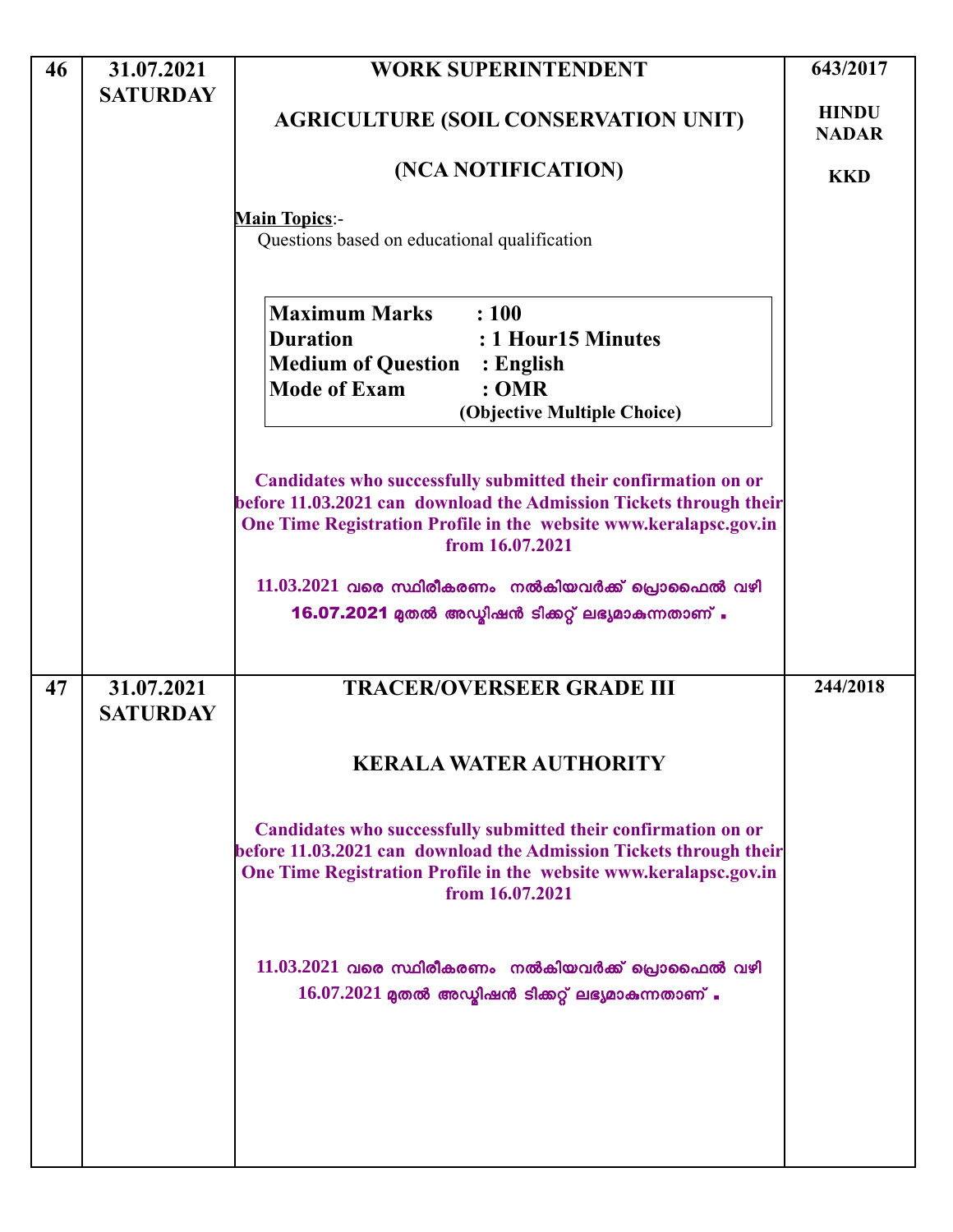| 46 | 31.07.2021                    | <b>WORK SUPERINTENDENT</b>                                                                                                                                                                                                   | 643/2017                     |
|----|-------------------------------|------------------------------------------------------------------------------------------------------------------------------------------------------------------------------------------------------------------------------|------------------------------|
|    | <b>SATURDAY</b>               | <b>AGRICULTURE (SOIL CONSERVATION UNIT)</b>                                                                                                                                                                                  | <b>HINDU</b><br><b>NADAR</b> |
|    |                               | (NCA NOTIFICATION)                                                                                                                                                                                                           | <b>KKD</b>                   |
|    |                               | <b>Main Topics:-</b><br>Questions based on educational qualification                                                                                                                                                         |                              |
|    |                               | <b>Maximum Marks</b> : 100<br><b>Duration</b><br>: 1 Hour15 Minutes<br><b>Medium of Question : English</b><br><b>Mode of Exam</b><br>:OMR<br>(Objective Multiple Choice)                                                     |                              |
|    |                               | Candidates who successfully submitted their confirmation on or<br>before 11.03.2021 can download the Admission Tickets through their<br>One Time Registration Profile in the website www.keralapsc.gov.in<br>from 16.07.2021 |                              |
|    |                               | $11.03.2021$ വരെ സ്ഥിരീകരണം നൽകിയവർക്ക് പ്രൊഫൈൽ വഴി<br>16.07.2021 മുതൽ അഡ്ബിഷൻ ടിക്കറ്റ് ലഭ്യമാകുന്നതാണ് .                                                                                                                   |                              |
| 47 | 31.07.2021<br><b>SATURDAY</b> | <b>TRACER/OVERSEER GRADE III</b>                                                                                                                                                                                             | 244/2018                     |
|    |                               | <b>KERALA WATER AUTHORITY</b>                                                                                                                                                                                                |                              |
|    |                               | Candidates who successfully submitted their confirmation on or<br>before 11.03.2021 can download the Admission Tickets through their<br>One Time Registration Profile in the website www.keralapsc.gov.in<br>from 16.07.2021 |                              |
|    |                               | $11.03.2021$ വരെ സ്ഥിരീകരണം നൽകിയവർക്ക് പ്രൊഫൈൽ വഴി<br>$16.07.2021$ മുതൽ അഡ്മിഷൻ ടിക്കറ്റ് ലഭ്യമാകുന്നതാണ്.                                                                                                                  |                              |
|    |                               |                                                                                                                                                                                                                              |                              |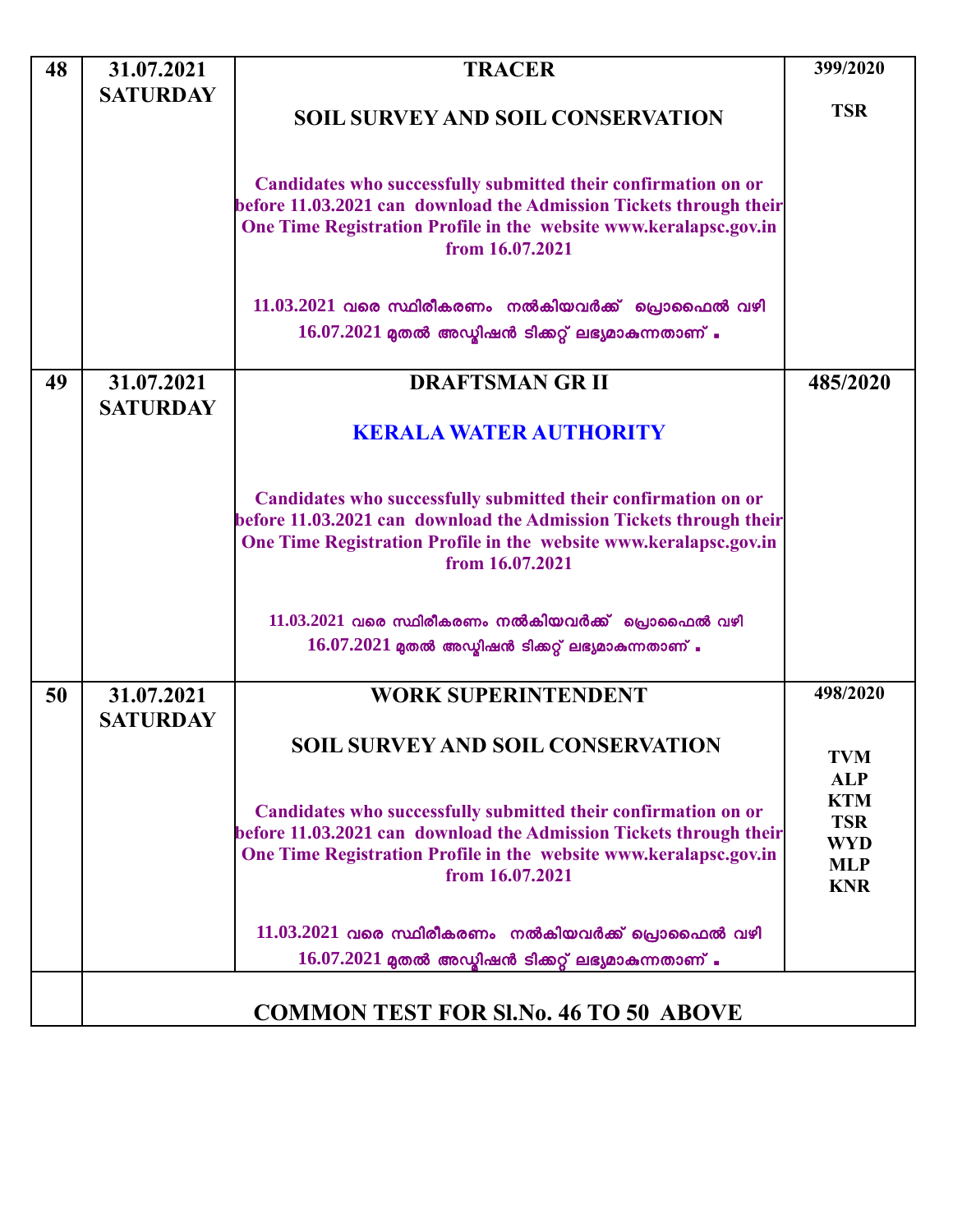| 48 | 31.07.2021                    | <b>TRACER</b>                                                                                                                           | 399/2020                 |
|----|-------------------------------|-----------------------------------------------------------------------------------------------------------------------------------------|--------------------------|
|    | <b>SATURDAY</b>               |                                                                                                                                         | <b>TSR</b>               |
|    |                               | <b>SOIL SURVEY AND SOIL CONSERVATION</b>                                                                                                |                          |
|    |                               |                                                                                                                                         |                          |
|    |                               | Candidates who successfully submitted their confirmation on or<br>before 11.03.2021 can download the Admission Tickets through their    |                          |
|    |                               | One Time Registration Profile in the website www.keralapsc.gov.in                                                                       |                          |
|    |                               | from 16.07.2021                                                                                                                         |                          |
|    |                               | $11.03.2021$ വരെ സ്ഥിരീകരണം നൽകിയവർക്ക് പ്രൊഫൈൽ വഴി                                                                                     |                          |
|    |                               | $16.07.2021$ മുതൽ അഡ്മിഷൻ ടിക്കറ്റ് ലഭ്യമാകുന്നതാണ് .                                                                                   |                          |
|    |                               |                                                                                                                                         |                          |
| 49 | 31.07.2021<br><b>SATURDAY</b> | <b>DRAFTSMAN GR II</b>                                                                                                                  | 485/2020                 |
|    |                               | <b>KERALA WATER AUTHORITY</b>                                                                                                           |                          |
|    |                               |                                                                                                                                         |                          |
|    |                               | Candidates who successfully submitted their confirmation on or                                                                          |                          |
|    |                               | before 11.03.2021 can download the Admission Tickets through their                                                                      |                          |
|    |                               | One Time Registration Profile in the website www.keralapsc.gov.in                                                                       |                          |
|    |                               | from 16.07.2021                                                                                                                         |                          |
|    |                               | $11.03.2021$ വരെ സ്ഥിരീകരണം നൽകിയവർക്ക് പ്രൊഫൈൽ വഴി                                                                                     |                          |
|    |                               | $16.07.2021$ മുതൽ അഡ്യിഷൻ ടിക്കറ്റ് ലഭ്യമാകുന്നതാണ് .                                                                                   |                          |
| 50 | 31.07.2021                    | <b>WORK SUPERINTENDENT</b>                                                                                                              | 498/2020                 |
|    | <b>SATURDAY</b>               |                                                                                                                                         |                          |
|    |                               | SOIL SURVEY AND SOIL CONSERVATION                                                                                                       | <b>TVM</b>               |
|    |                               |                                                                                                                                         | <b>ALP</b>               |
|    |                               | Candidates who successfully submitted their confirmation on or                                                                          | <b>KTM</b><br><b>TSR</b> |
|    |                               | before 11.03.2021 can download the Admission Tickets through their<br>One Time Registration Profile in the website www.keralapsc.gov.in | <b>WYD</b>               |
|    |                               | from 16.07.2021                                                                                                                         | <b>MLP</b>               |
|    |                               |                                                                                                                                         | <b>KNR</b>               |
|    |                               | $11.03.2021$ വരെ സ്ഥിരീകരണം നൽകിയവർക്ക് പ്രൊഫൈൽ വഴി                                                                                     |                          |
|    |                               | $16.07.2021$ മുതൽ അഡ്യിഷൻ ടിക്കറ്റ് ലഭ്യമാകുന്നതാണ് .                                                                                   |                          |
|    |                               |                                                                                                                                         |                          |
|    |                               | <b>COMMON TEST FOR SI.No. 46 TO 50 ABOVE</b>                                                                                            |                          |